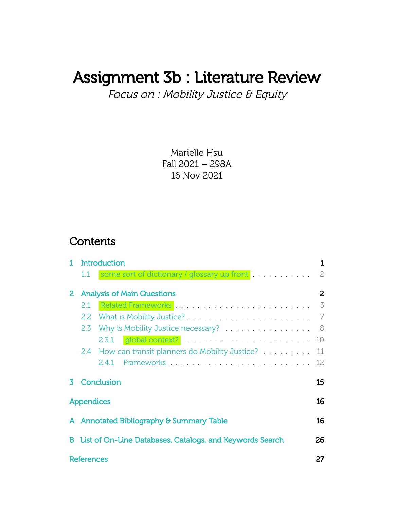# Assignment 3b : Literature Review

Focus on : Mobility Justice & Equity

Marielle Hsu Fall 2021 – 298A 16 Nov 2021

### **Contents**

|   |                   | Introduction                                             | 1            |
|---|-------------------|----------------------------------------------------------|--------------|
|   | $1.1\,$           | some sort of dictionary / glossary up front              | 2.           |
|   |                   | <b>Analysis of Main Questions</b>                        | $\mathbf{2}$ |
|   | 2.1               |                                                          | 3            |
|   | $2.2\phantom{0}$  |                                                          | 7            |
|   | $2.3^{\circ}$     | Why is Mobility Justice necessary?                       | 8            |
|   |                   | global context?<br>2.3.1                                 | 10           |
|   |                   | 2.4 How can transit planners do Mobility Justice?        | 11           |
|   |                   | 2.41                                                     | 12           |
|   |                   | Conclusion                                               | 15           |
|   | <b>Appendices</b> |                                                          | 16           |
|   |                   | A Annotated Bibliography & Summary Table                 | 16           |
| В |                   | List of On-Line Databases, Catalogs, and Keywords Search | 26           |
|   | <b>References</b> |                                                          | 27           |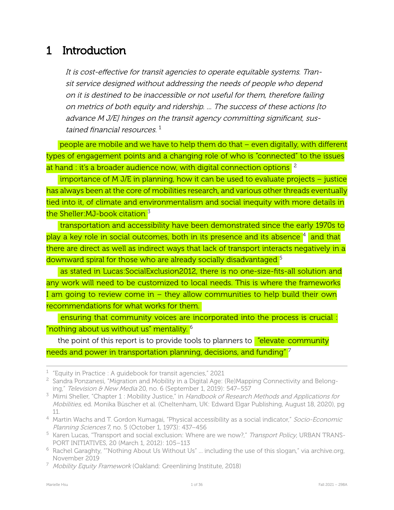# <span id="page-1-0"></span>1 Introduction

It is cost-effective for transit agencies to operate equitable systems. Transit service designed without addressing the needs of people who depend on it is destined to be inaccessible or not useful for them, therefore failing on metrics of both equity and ridership. ... The success of these actions [to advance M J/E] hinges on the transit agency committing significant, sustained financial resources. 1

people are mobile and we have to help them do that – even digitally, with different types of engagement points and a changing role of who is "connected" to the issues at hand : it's a broader audience now, with digital connection options  $^2$ 

importance of M J/E in planning, how it can be used to evaluate projects – justice has always been at the core of mobilities research, and various other threads eventually tied into it, of climate and environmentalism and social inequity with more details in the Sheller:  $MJ$ -book citation  $3$ 

transportation and accessibility have been demonstrated since the early 1970s to play a key role in social outcomes, both in its presence and its absence <sup>4</sup> and that there are direct as well as indirect ways that lack of transport interacts negatively in a downward spiral for those who are already socially disadvantaged <sup>5</sup>

as stated in Lucas:SocialExclusion2012, there is no one-size-fits-all solution and any work will need to be customized to local needs. This is where the frameworks I am going to review come in – they allow communities to help build their own recommendations for what works for them.

ensuring that community voices are incorporated into the process is crucial : "nothing about us without us" mentality. <sup>6</sup>

the point of this report is to provide tools to planners to **"elevate community**" needs and power in transportation planning, decisions, and funding" <sup>7</sup>

<span id="page-1-2"></span> $^1$  "Equity in Practice : A guidebook for transit agencies," 2021

 $2\text{ S}$  Sandra Ponzanesi, "Migration and Mobility in a Digital Age: (Re)Mapping Connectivity and Belonging," Television & New Media 20, no. 6 (September 1, 2019): 547–557

<span id="page-1-1"></span><sup>&</sup>lt;sup>3</sup> Mimi Sheller, "Chapter 1 : Mobility Justice," in Handbook of Research Methods and Applications for Mobilities, ed. Monika Büscher et al. (Cheltenham, UK: Edward Elgar Publishing, August 18, 2020), pg 11.

<sup>&</sup>lt;sup>4</sup> Martin Wachs and T. Gordon Kumagai, "Physical accessibility as a social indicator," Socio-Economic Planning Sciences 7, no. 5 (October 1, 1973): 437–456

<sup>&</sup>lt;sup>5</sup> Karen Lucas, "Transport and social exclusion: Where are we now?," Transport Policy, URBAN TRANS-PORT INITIATIVES, 20 (March 1, 2012): 105–113

<sup>6</sup> Rachel Garaghty, ""Nothing About Us Without Us" ... including the use of this slogan," via archive.org, November 2019

<span id="page-1-3"></span><sup>&</sup>lt;sup>7</sup> Mobility Equity Framework (Oakland: Greenlining Institute, 2018)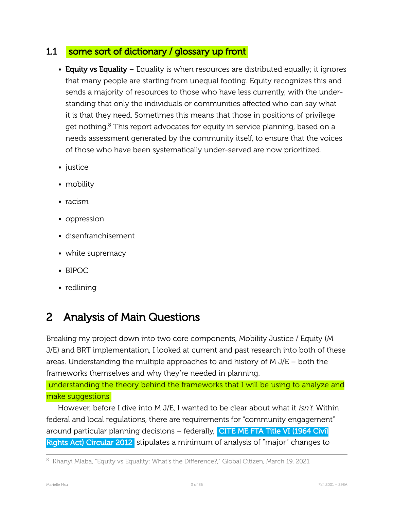### <span id="page-2-0"></span>1.1 some sort of dictionary / glossary up front

- Equity vs Equality Equality is when resources are distributed equally; it ignores that many people are starting from unequal footing. Equity recognizes this and sends a majority of resources to those who have less currently, with the understanding that only the individuals or communities affected who can say what it is that they need. Sometimes this means that those in positions of privilege get nothing.<sup>8</sup> This report advocates for equity in service planning, based on a needs assessment generated by the community itself, to ensure that the voices of those who have been systematically under-served are now prioritized.
- justice
- mobility
- racism
- oppression
- disenfranchisement
- white supremacy
- BIPOC
- redlining

# <span id="page-2-1"></span>2 Analysis of Main Questions

Breaking my project down into two core components, Mobility Justice / Equity (M J/E) and BRT implementation, I looked at current and past research into both of these areas. Understanding the multiple approaches to and history of M J/E – both the frameworks themselves and why they're needed in planning.

understanding the theory behind the frameworks that I will be using to analyze and make suggestions

However, before I dive into M J/E, I wanted to be clear about what it *isn't*. Within federal and local regulations, there are requirements for "community engagement" around particular planning decisions – federally, CITE ME FTA Title VI (1964 Civil Rights Act) Circular 2012 stipulates a minimum of analysis of "major" changes to

 $8$  Khanyi Mlaba, "Equity vs Equality: What's the Difference?," Global Citizen, March 19, 2021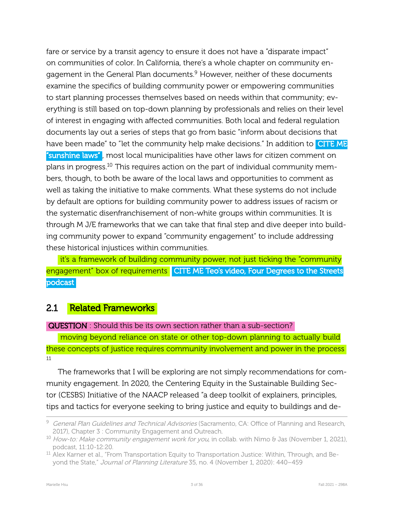fare or service by a transit agency to ensure it does not have a "disparate impact" on communities of color. In California, there's a whole chapter on community engagement in the General Plan documents.<sup>9</sup> However, neither of these documents examine the specifics of building community power or empowering communities to start planning processes themselves based on needs within that community; everything is still based on top-down planning by professionals and relies on their level of interest in engaging with affected communities. Both local and federal regulation documents lay out a series of steps that go from basic "inform about decisions that have been made" to "let the community help make decisions." In addition to **CITE ME** "sunshine laws" , most local municipalities have other laws for citizen comment on plans in progress.<sup>10</sup> This requires action on the part of individual community members, though, to both be aware of the local laws and opportunities to comment as well as taking the initiative to make comments. What these systems do not include by default are options for building community power to address issues of racism or the systematic disenfranchisement of non-white groups within communities. It is through M J/E frameworks that we can take that final step and dive deeper into building community power to expand "community engagement" to include addressing these historical injustices within communities.

it's a framework of building community power, not just ticking the "community engagement" box of requirements CITE ME Teo's video, Four Degrees to the Streets podcast

### <span id="page-3-0"></span>2.1 Related Frameworks

#### QUESTION : Should this be its own section rather than a sub-section?

moving beyond reliance on state or other top-down planning to actually build these concepts of justice requires community involvement and power in the process 11

The frameworks that I will be exploring are not simply recommendations for community engagement. In 2020, the Centering Equity in the Sustainable Building Sector (CESBS) Initiative of the NAACP released "a deep toolkit of explainers, principles, tips and tactics for everyone seeking to bring justice and equity to buildings and de-

<sup>&</sup>lt;sup>9</sup> General Plan Guidelines and Technical Advisories (Sacramento, CA: Office of Planning and Research, 2017), Chapter 3 : Community Engagement and Outreach.

<span id="page-3-1"></span><sup>&</sup>lt;sup>10</sup> How-to: Make community engagement work for you, in collab. with Nimo & Jas (November 1, 2021), podcast, 11:10-12:20.

<sup>&</sup>lt;sup>11</sup> Alex Karner et al., "From Transportation Equity to Transportation Justice: Within, Through, and Beyond the State," Journal of Planning Literature 35, no. 4 (November 1, 2020): 440–459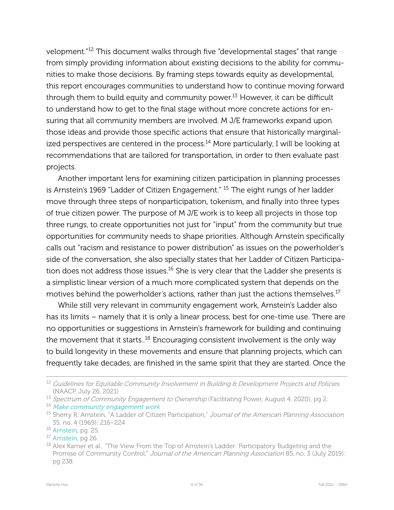velopment."<sup>12</sup> This document walks through five "developmental stages" that range from simply providing information about existing decisions to the ability for communities to make those decisions. By framing steps towards equity as developmental, this report encourages communities to understand how to continue moving forward through them to build equity and community power.<sup>13</sup> However, it can be difficult to understand how to get to the final stage without more concrete actions for ensuring that all community members are involved. M J/E frameworks expand upon those ideas and provide those specific actions that ensure that historically marginalized perspectives are centered in the process.<sup>14</sup> More particularly, I will be looking at recommendations that are tailored for transportation, in order to then evaluate past projects.

Another important lens for examining citizen participation in planning processes is Arnstein's 1969 "Ladder of Citizen Engagement." <sup>15</sup> The eight rungs of her ladder move through three steps of nonparticipation, tokenism, and finally into three types of true citizen power. The purpose of M J/E work is to keep all projects in those top three rungs, to create opportunities not just for "input" from the community but true opportunities for community needs to shape priorities. Although Arnstein specifically calls out "racism and resistance to power distribution" as issues on the powerholder's side of the conversation, she also specially states that her Ladder of Citizen Participation does not address those issues.<sup>16</sup> She is very clear that the Ladder she presents is a simplistic linear version of a much more complicated system that depends on the motives behind the powerholder's actions, rather than just the actions themselves.<sup>17</sup>

While still very relevant in community engagement work, Arnstein's Ladder also has its limits – namely that it is only a linear process, best for one-time use. There are no opportunities or suggestions in Arnstein's framework for building and continuing the movement that it starts.<sup>18</sup> Encouraging consistent involvement is the only way to build longevity in these movements and ensure that planning projects, which can frequently take decades, are finished in the same spirit that they are started. Once the

<sup>&</sup>lt;sup>12</sup> Guidelines for Equitable Community Involvement in Building & Development Projects and Policies (NAACP, July 26, 2021)

<span id="page-4-2"></span><sup>&</sup>lt;sup>13</sup> Spectrum of Community Engagement to Ownership (Facilitating Power, August 4, 2020), pg 2.

<sup>&</sup>lt;sup>14</sup> Make community [engagement](#page-3-1) work

<span id="page-4-0"></span><sup>&</sup>lt;sup>15</sup> Sherry R. Arnstein, "A Ladder of Citizen Participation," Journal of the American Planning Association 35, no. 4 (1969): 216–224

<sup>16</sup> [Arnstein,](#page-4-0) pg. 25.

<sup>&</sup>lt;sup>17</sup> [Arnstein,](#page-4-0) pg 26.

<span id="page-4-1"></span><sup>&</sup>lt;sup>18</sup> Alex Karner et al., "The View From the Top of Arnstein's Ladder: Participatory Budgeting and the Promise of Community Control," Journal of the American Planning Association 85, no. 3 (July 2019): pg 238.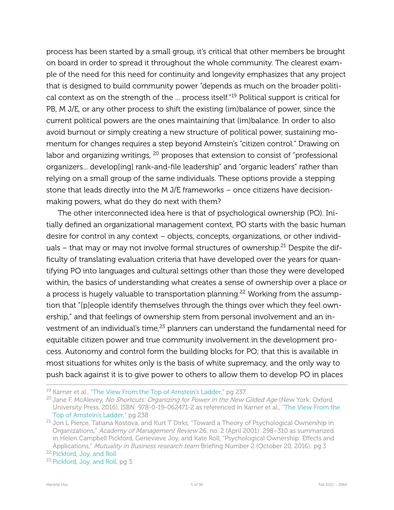process has been started by a small group, it's critical that other members be brought on board in order to spread it throughout the whole community. The clearest example of the need for this need for continuity and longevity emphasizes that any project that is designed to build community power "depends as much on the broader political context as on the strength of the ... process itself."<sup>19</sup> Political support is critical for PB, M J/E, or any other process to shift the existing (im)balance of power, since the current political powers are the ones maintaining that (im)balance. In order to also avoid burnout or simply creating a new structure of political power, sustaining momentum for changes requires a step beyond Arnstein's "citizen control." Drawing on labor and organizing writings, <sup>20</sup> proposes that extension to consist of "professional organizers... develop[ing] rank-and-file leadership" and "organic leaders" rather than relying on a small group of the same individuals. These options provide a stepping stone that leads directly into the M J/E frameworks – once citizens have decisionmaking powers, what do they do next with them?

The other interconnected idea here is that of psychological ownership (PO). Initially defined an organizational management context, PO starts with the basic human desire for control in any context – objects, concepts, organizations, or other individuals  $-$  that may or may not involve formal structures of ownership.<sup>21</sup> Despite the difficulty of translating evaluation criteria that have developed over the years for quantifying PO into languages and cultural settings other than those they were developed within, the basics of understanding what creates a sense of ownership over a place or a process is hugely valuable to transportation planning.<sup>22</sup> Working from the assumption that "[p]eople identify themselves through the things over which they feel ownership," and that feelings of ownership stem from personal involvement and an investment of an individual's time,<sup>23</sup> planners can understand the fundamental need for equitable citizen power and true community involvement in the development process. Autonomy and control form the building blocks for PO; that this is available in most situations for whites only is the basis of white supremacy, and the only way to push back against it is to give power to others to allow them to develop PO in places

<sup>&</sup>lt;sup>19</sup> Karner et al., ["The View From the Top of Arnstein's Ladder,](#page-4-1)" pg 237.

<sup>&</sup>lt;sup>20</sup> Jane F. McAlevey, No Shortcuts: Organizing for Power in the New Gilded Age (New York: Oxford University Press, 2016), ISBN: 978-0-19-062471-2 as referenced in Karner et al., ["The View From the](#page-4-1) [Top of Arnstein's Ladder,](#page-4-1)" pg 238

<span id="page-5-1"></span><span id="page-5-0"></span><sup>&</sup>lt;sup>21</sup> Jon L Pierce, Tatiana Kostova, and Kurt T Dirks, "Toward a Theory of Psychological Ownership in Organizations," Academy of Management Review 26, no. 2 (April 2001): 298–310 as summarized in Helen Campbell Pickford, Genevieve Joy, and Kate Roll, "Psychological Ownership: Effects and Applications," Mutuality in Business research team Briefing Number 2 (October 20, 2016): pg 3

<sup>22</sup> [Pickford, Joy, and Roll](#page-5-0)

<sup>&</sup>lt;sup>23</sup> [Pickford, Joy, and Roll,](#page-5-0) pg 3.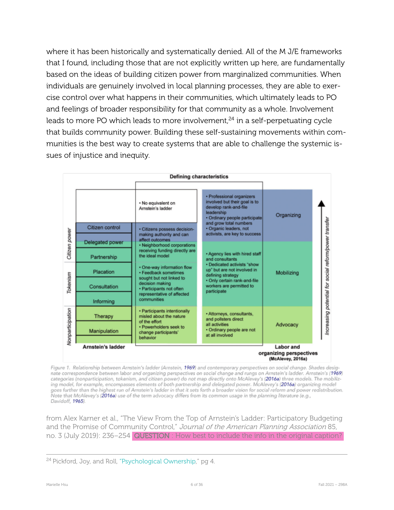where it has been historically and systematically denied. All of the M J/E frameworks that I found, including those that are not explicitly written up here, are fundamentally based on the ideas of building citizen power from marginalized communities. When individuals are genuinely involved in local planning processes, they are able to exercise control over what happens in their communities, which ultimately leads to PO and feelings of broader responsibility for that community as a whole. Involvement leads to more PO which leads to more involvement, $^{24}$  in a self-perpetuating cycle that builds community power. Building these self-sustaining movements within communities is the best way to create systems that are able to challenge the systemic issues of injustice and inequity.



Figure 1. Relationship between Arnstein's ladder (Arnstein, 1969) and contemporary perspectives on social change. Shades desig nate correspondence between labor and organizing perspectives on social change and rungs on Arnstein's ladder. Arnstein's (1969) categories (nonparticipation, tokenism, and citizen power) do not map directly onto McAlevey's (2016a) three models. The mobilizing model, for example, encompasses elements of both partnership and delegated power. McAlevey's (2016a) organizing model goes further than the highest run of Arnstein's ladder in that it sets forth a broader vision for social reform and power redistribution. Note that McAlevey's (2016a) use of the term advocacy differs from its common usage in the planning literature (e.g., Davidoff, 1965).

from Alex Karner et al., "The View From the Top of Arnstein's Ladder: Participatory Budgeting and the Promise of Community Control," Journal of the American Planning Association 85, no. 3 (July 2019): 236–254 QUESTION : How best to include the info in the original caption?

<sup>&</sup>lt;sup>24</sup> Pickford, Joy, and Roll, ["Psychological Ownership](#page-5-0)," pg 4.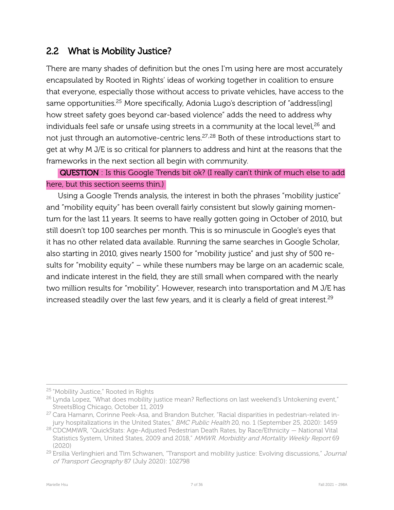### <span id="page-7-0"></span>2.2 What is Mobility Justice?

There are many shades of definition but the ones I'm using here are most accurately encapsulated by Rooted in Rights' ideas of working together in coalition to ensure that everyone, especially those without access to private vehicles, have access to the same opportunities.<sup>25</sup> More specifically, Adonia Lugo's description of "address[ing] how street safety goes beyond car-based violence" adds the need to address why individuals feel safe or unsafe using streets in a community at the local level,<sup>26</sup> and not just through an automotive-centric lens.<sup>27,28</sup> Both of these introductions start to get at why M J/E is so critical for planners to address and hint at the reasons that the frameworks in the next section all begin with community.

QUESTION : Is this Google Trends bit ok? (I really can't think of much else to add here, but this section seems thin.)

Using a Google Trends analysis, the interest in both the phrases "mobility justice" and "mobility equity" has been overall fairly consistent but slowly gaining momentum for the last 11 years. It seems to have really gotten going in October of 2010, but still doesn't top 100 searches per month. This is so minuscule in Google's eyes that it has no other related data available. Running the same searches in Google Scholar, also starting in 2010, gives nearly 1500 for "mobility justice" and just shy of 500 results for "mobility equity" – while these numbers may be large on an academic scale, and indicate interest in the field, they are still small when compared with the nearly two million results for "mobility". However, research into transportation and M J/E has increased steadily over the last few years, and it is clearly a field of great interest.<sup>29</sup>

<sup>25</sup> "Mobility Justice," Rooted in Rights

 $26$  Lynda Lopez, "What does mobility justice mean? Reflections on last weekend's Untokening event," StreetsBlog Chicago, October 11, 2019

<sup>&</sup>lt;sup>27</sup> Cara Hamann, Corinne Peek-Asa, and Brandon Butcher, "Racial disparities in pedestrian-related injury hospitalizations in the United States," BMC Public Health 20, no. 1 (September 25, 2020): 1459

 $28$  CDCMMWR, "QuickStats: Age-Adjusted Pedestrian Death Rates, by Race/Ethnicity  $-$  National Vital Statistics System, United States, 2009 and 2018," MMWR. Morbidity and Mortality Weekly Report 69 (2020)

<span id="page-7-1"></span><sup>&</sup>lt;sup>29</sup> Ersilia Verlinghieri and Tim Schwanen, "Transport and mobility justice: Evolving discussions," Journal of Transport Geography 87 (July 2020): 102798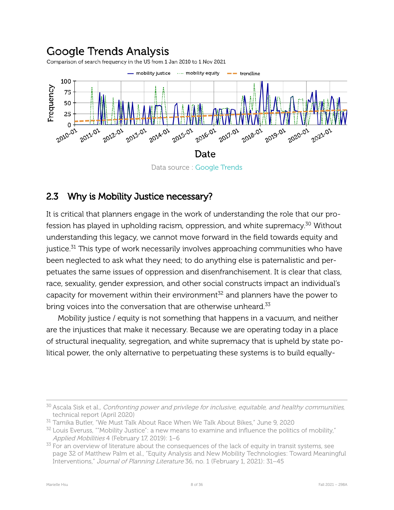## **Google Trends Analysis**

Comparison of search frequency in the US from 1 Jan 2010 to 1 Nov 2021



### <span id="page-8-0"></span>2.3 Why is Mobility Justice necessary?

It is critical that planners engage in the work of understanding the role that our profession has played in upholding racism, oppression, and white supremacy.<sup>30</sup> Without understanding this legacy, we cannot move forward in the field towards equity and justice.<sup>31</sup> This type of work necessarily involves approaching communities who have been neglected to ask what they need; to do anything else is paternalistic and perpetuates the same issues of oppression and disenfranchisement. It is clear that class, race, sexuality, gender expression, and other social constructs impact an individual's capacity for movement within their environment $^{32}$  and planners have the power to bring voices into the conversation that are otherwise unheard.<sup>33</sup>

Mobility justice / equity is not something that happens in a vacuum, and neither are the injustices that make it necessary. Because we are operating today in a place of structural inequality, segregation, and white supremacy that is upheld by state political power, the only alternative to perpetuating these systems is to build equally-

<span id="page-8-1"></span><sup>&</sup>lt;sup>30</sup> Ascala Sisk et al., Confronting power and privilege for inclusive, equitable, and healthy communities, technical report (April 2020)

<sup>31</sup> Tamika Butler, "We Must Talk About Race When We Talk About Bikes," June 9, 2020

 $32$  Louis Everuss, ""Mobility Justice": a new means to examine and influence the politics of mobility," Applied Mobilities 4 (February 17, 2019): 1–6

 $33$  For an overview of literature about the consequences of the lack of equity in transit systems, see page 32 of Matthew Palm et al., "Equity Analysis and New Mobility Technologies: Toward Meaningful Interventions," Journal of Planning Literature 36, no. 1 (February 1, 2021): 31–45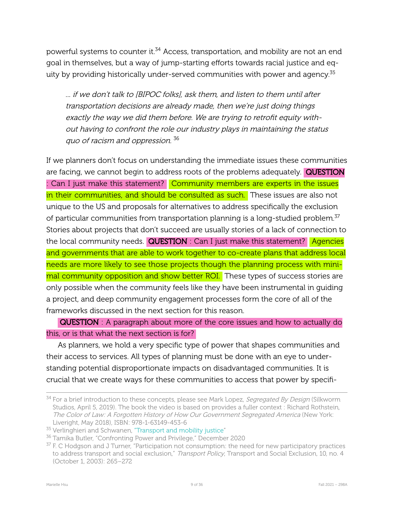powerful systems to counter it.<sup>34</sup> Access, transportation, and mobility are not an end goal in themselves, but a way of jump-starting efforts towards racial justice and equity by providing historically under-served communities with power and agency. $35$ 

... if we don't talk to [BIPOC folks], ask them, and listen to them until after transportation decisions are already made, then we're just doing things exactly the way we did them before. We are trying to retrofit equity without having to confront the role our industry plays in maintaining the status quo of racism and oppression. 36

If we planners don't focus on understanding the immediate issues these communities are facing, we cannot begin to address roots of the problems adequately. QUESTION : Can I just make this statement? Community members are experts in the issues in their communities, and should be consulted as such. These issues are also not unique to the US and proposals for alternatives to address specifically the exclusion of particular communities from transportation planning is a long-studied problem.<sup>37</sup> Stories about projects that don't succeed are usually stories of a lack of connection to the local community needs.  $\overline{\text{QUESTION}}$  : Can I just make this statement? Agencies and governments that are able to work together to co-create plans that address local needs are more likely to see those projects though the planning process with minimal community opposition and show better ROI. These types of success stories are only possible when the community feels like they have been instrumental in guiding a project, and deep community engagement processes form the core of all of the frameworks discussed in the next section for this reason.

QUESTION : A paragraph about more of the core issues and how to actually do this, or is that what the next section is for?

As planners, we hold a very specific type of power that shapes communities and their access to services. All types of planning must be done with an eye to understanding potential disproportionate impacts on disadvantaged communities. It is crucial that we create ways for these communities to access that power by specifi-

<sup>&</sup>lt;sup>34</sup> For a brief introduction to these concepts, please see Mark Lopez, Segregated By Design (Silkworm Studios, April 5, 2019). The book the video is based on provides a fuller context : Richard Rothstein, The Color of Law: A Forgotten History of How Our Government Segregated America (New York: Liveright, May 2018), ISBN: 978-1-63149-453-6

<sup>&</sup>lt;sup>35</sup> Verlinghieri and Schwanen, ["Transport and mobility justice"](#page-7-1)

<span id="page-9-0"></span><sup>36</sup> Tamika Butler, "Confronting Power and Privilege," December 2020

<sup>&</sup>lt;sup>37</sup> F. C Hodgson and J Turner, "Participation not consumption: the need for new participatory practices to address transport and social exclusion," Transport Policy, Transport and Social Exclusion, 10, no. 4 (October 1, 2003): 265–272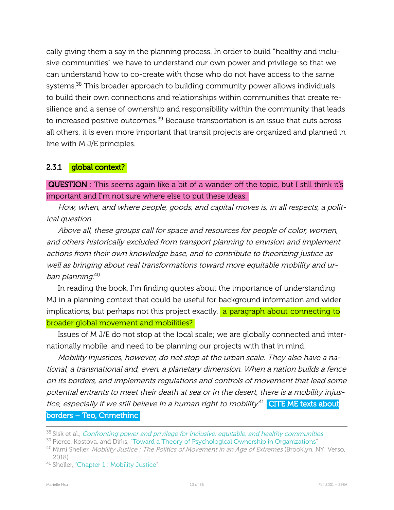cally giving them a say in the planning process. In order to build "healthy and inclusive communities" we have to understand our own power and privilege so that we can understand how to co-create with those who do not have access to the same systems.<sup>38</sup> This broader approach to building community power allows individuals to build their own connections and relationships within communities that create resilience and a sense of ownership and responsibility within the community that leads to increased positive outcomes.<sup>39</sup> Because transportation is an issue that cuts across all others, it is even more important that transit projects are organized and planned in line with M J/E principles.

#### <span id="page-10-0"></span>2.3.1 global context?

QUESTION : This seems again like a bit of a wander off the topic, but I still think it's important and I'm not sure where else to put these ideas.

How, when, and where people, goods, and capital moves is, in all respects, a political question.

Above all, these groups call for space and resources for people of color, women, and others historically excluded from transport planning to envision and implement actions from their own knowledge base, and to contribute to theorizing justice as well as bringing about real transformations toward more equitable mobility and urban planning. 40

In reading the book, I'm finding quotes about the importance of understanding MJ in a planning context that could be useful for background information and wider implications, but perhaps not this project exactly. **a paragraph about connecting to** broader global movement and mobilities?

Issues of M J/E do not stop at the local scale; we are globally connected and internationally mobile, and need to be planning our projects with that in mind.

Mobility injustices, however, do not stop at the urban scale. They also have a national, <sup>a</sup> transnational and, even, <sup>a</sup> planetary dimension. When <sup>a</sup> nation builds <sup>a</sup> fence on its borders, and implements regulations and controls of movement that lead some potential entrants to meet their death at sea or in the desert, there is a mobility injustice, especially if we still believe in a human right to mobility.<sup>41</sup> CITE ME texts about borders – Teo, Crimethinc

 $38$  Sisk et al., *[Confronting](#page-8-1) power and privilege for inclusive, equitable, and healthy communities* 

<sup>&</sup>lt;sup>39</sup> Pierce, Kostova, and Dirks, ["Toward a Theory of Psychological Ownership in Organizations](#page-5-1)"

<sup>&</sup>lt;sup>40</sup> Mimi Sheller, *Mobility Justice : The Politics of Movement in an Age of Extremes* (Brooklyn, NY: Verso, 2018)

<sup>41</sup> Sheller, ["Chapter 1 : Mobility Justice"](#page-1-1)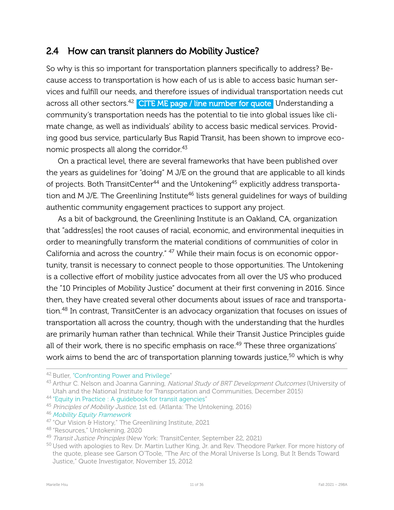### <span id="page-11-0"></span>2.4 How can transit planners do Mobility Justice?

So why is this so important for transportation planners specifically to address? Because access to transportation is how each of us is able to access basic human services and fulfill our needs, and therefore issues of individual transportation needs cut across all other sectors.<sup>42</sup> CITE ME page / line number for quote Understanding a community's transportation needs has the potential to tie into global issues like climate change, as well as individuals' ability to access basic medical services. Providing good bus service, particularly Bus Rapid Transit, has been shown to improve economic prospects all along the corridor.<sup>43</sup>

On a practical level, there are several frameworks that have been published over the years as guidelines for "doing" M J/E on the ground that are applicable to all kinds of projects. Both TransitCenter<sup>44</sup> and the Untokening<sup>45</sup> explicitly address transportation and M J/E. The Greenlining Institute<sup>46</sup> lists general guidelines for ways of building authentic community engagement practices to support any project.

As a bit of background, the Greenlining Institute is an Oakland, CA, organization that "address[es] the root causes of racial, economic, and environmental inequities in order to meaningfully transform the material conditions of communities of color in California and across the country." <sup>47</sup> While their main focus is on economic opportunity, transit is necessary to connect people to those opportunities. The Untokening is a collective effort of mobility justice advocates from all over the US who produced the "10 Principles of Mobility Justice" document at their first convening in 2016. Since then, they have created several other documents about issues of race and transportation.<sup>48</sup> In contrast, TransitCenter is an advocacy organization that focuses on issues of transportation all across the country, though with the understanding that the hurdles are primarily human rather than technical. While their Transit Justice Principles guide all of their work, there is no specific emphasis on race.<sup>49</sup> These three organizations' work aims to bend the arc of transportation planning towards justice,<sup>50</sup> which is why

<sup>46</sup> Mobility Equity [Framework](#page-1-3)

<sup>42</sup> Butler, ["Confronting Power and Privilege](#page-9-0)"

<sup>&</sup>lt;sup>43</sup> Arthur C. Nelson and Joanna Ganning, National Study of BRT Development Outcomes (University of Utah and the National Institute for Transportation and Communities, December 2015)

<sup>&</sup>lt;sup>44</sup> "Equity in Practice : A quidebook for transit agencies"

<sup>&</sup>lt;sup>45</sup> Principles of Mobility Justice, 1st ed. (Atlanta: The Untokening, 2016)

<sup>47</sup> "Our Vision & History," The Greenlining Institute, 2021

<sup>48</sup> "Resources," Untokening, 2020

<sup>&</sup>lt;sup>49</sup> Transit Justice Principles (New York: TransitCenter, September 22, 2021)

<sup>50</sup> Used with apologies to Rev. Dr. Martin Luther King, Jr. and Rev. Theodore Parker. For more history of the quote, please see Garson O'Toole, "The Arc of the Moral Universe Is Long, But It Bends Toward Justice," Quote Investigator, November 15, 2012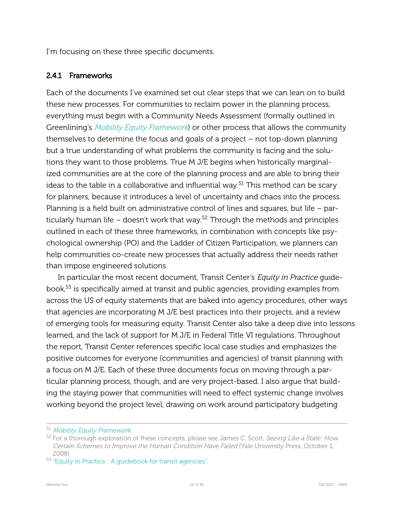I'm focusing on these three specific documents.

#### <span id="page-12-0"></span>2.4.1 Frameworks

Each of the documents I've examined set out clear steps that we can lean on to build these new processes. For communities to reclaim power in the planning process, everything must begin with a Community Needs Assessment (formally outlined in Greenlining's *Mobility Equity [Framework](#page-1-3)*) or other process that allows the community themselves to determine the focus and goals of a project  $-$  not top-down planning but a true understanding of what problems the community is facing and the solutions they want to those problems. True M J/E begins when historically marginalized communities are at the core of the planning process and are able to bring their ideas to the table in a collaborative and influential way.<sup>51</sup> This method can be scary for planners, because it introduces a level of uncertainty and chaos into the process. Planning is a field built on administrative control of lines and squares, but life – particularly human life – doesn't work that way.<sup>52</sup> Through the methods and principles outlined in each of these three frameworks, in combination with concepts like psychological ownership (PO) and the Ladder of Citizen Participation, we planners can help communities co-create new processes that actually address their needs rather than impose engineered solutions.

In particular the most recent document, Transit Center's Equity in Practice guidebook,<sup>53</sup> is specifically aimed at transit and public agencies, providing examples from across the US of equity statements that are baked into agency procedures, other ways that agencies are incorporating M J/E best practices into their projects, and a review of emerging tools for measuring equity. Transit Center also take a deep dive into lessons learned, and the lack of support for M J/E in Federal Title VI regulations. Throughout the report, Transit Center references specific local case studies and emphasizes the positive outcomes for everyone (communities and agencies) of transit planning with a focus on M J/E. Each of these three documents focus on moving through a particular planning process, though, and are very project-based. I also argue that building the staying power that communities will need to effect systemic change involves working beyond the project level, drawing on work around participatory budgeting

<sup>51</sup> Mobility Equity [Framework](#page-1-3)

<sup>&</sup>lt;sup>52</sup> For a thorough exploration of these concepts, please see James C. Scott, *Seeing Like a State: How* Certain Schemes to Improve the Human Condition Have Failed (Yale University Press, October 1, 2008)

<sup>&</sup>lt;sup>53</sup> "Equity in Practice : A quidebook for transit agencies"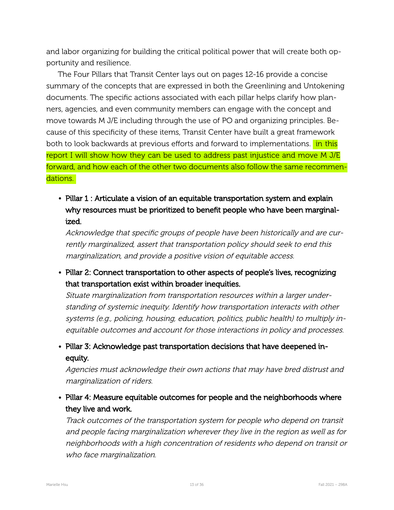and labor organizing for building the critical political power that will create both opportunity and resilience.

The Four Pillars that Transit Center lays out on pages 12-16 provide a concise summary of the concepts that are expressed in both the Greenlining and Untokening documents. The specific actions associated with each pillar helps clarify how planners, agencies, and even community members can engage with the concept and move towards M J/E including through the use of PO and organizing principles. Because of this specificity of these items, Transit Center have built a great framework both to look backwards at previous efforts and forward to implementations. in this report I will show how they can be used to address past injustice and move M J/E forward, and how each of the other two documents also follow the same recommendations.

• Pillar 1 : Articulate a vision of an equitable transportation system and explain why resources must be prioritized to benefit people who have been marginalized.

Acknowledge that specific groups of people have been historically and are currently marginalized, assert that transportation policy should seek to end this marginalization, and provide <sup>a</sup> positive vision of equitable access.

• Pillar 2: Connect transportation to other aspects of people's lives, recognizing that transportation exist within broader inequities.

Situate marginalization from transportation resources within a larger understanding of systemic inequity. Identify how transportation interacts with other systems (e.g., policing, housing, education, politics, public health) to multiply inequitable outcomes and account for those interactions in policy and processes.

• Pillar 3: Acknowledge past transportation decisions that have deepened inequity.

Agencies must acknowledge their own actions that may have bred distrust and marginalization of riders.

• Pillar 4: Measure equitable outcomes for people and the neighborhoods where they live and work.

Track outcomes of the transportation system for people who depend on transit and people facing marginalization wherever they live in the region as well as for neighborhoods with <sup>a</sup> high concentration of residents who depend on transit or who face marginalization.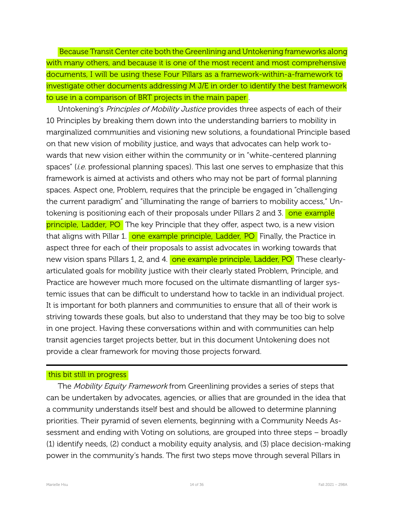Because Transit Center cite both the Greenlining and Untokening frameworks along with many others, and because it is one of the most recent and most comprehensive documents, I will be using these Four Pillars as a framework-within-a-framework to investigate other documents addressing M J/E in order to identify the best framework to use in a comparison of BRT projects in the main paper .

Untokening's Principles of Mobility Justice provides three aspects of each of their 10 Principles by breaking them down into the understanding barriers to mobility in marginalized communities and visioning new solutions, a foundational Principle based on that new vision of mobility justice, and ways that advocates can help work towards that new vision either within the community or in "white-centered planning spaces" (*i.e.* professional planning spaces). This last one serves to emphasize that this framework is aimed at activists and others who may not be part of formal planning spaces. Aspect one, Problem, requires that the principle be engaged in "challenging the current paradigm" and "illuminating the range of barriers to mobility access," Untokening is positioning each of their proposals under Pillars 2 and 3. one example principle, Ladder, PO The key Principle that they offer, aspect two, is a new vision that aligns with Pillar 1. one example principle, Ladder, PO Finally, the Practice in aspect three for each of their proposals to assist advocates in working towards that new vision spans Pillars 1, 2, and 4. one example principle, Ladder, PO These clearlyarticulated goals for mobility justice with their clearly stated Problem, Principle, and Practice are however much more focused on the ultimate dismantling of larger systemic issues that can be difficult to understand how to tackle in an individual project. It is important for both planners and communities to ensure that all of their work is striving towards these goals, but also to understand that they may be too big to solve in one project. Having these conversations within and with communities can help transit agencies target projects better, but in this document Untokening does not provide a clear framework for moving those projects forward.

#### this bit still in progress

The *Mobility Equity Framework* from Greenlining provides a series of steps that can be undertaken by advocates, agencies, or allies that are grounded in the idea that a community understands itself best and should be allowed to determine planning priorities. Their pyramid of seven elements, beginning with a Community Needs Assessment and ending with Voting on solutions, are grouped into three steps – broadly  $(1)$  identify needs,  $(2)$  conduct a mobility equity analysis, and  $(3)$  place decision-making power in the community's hands. The first two steps move through several Pillars in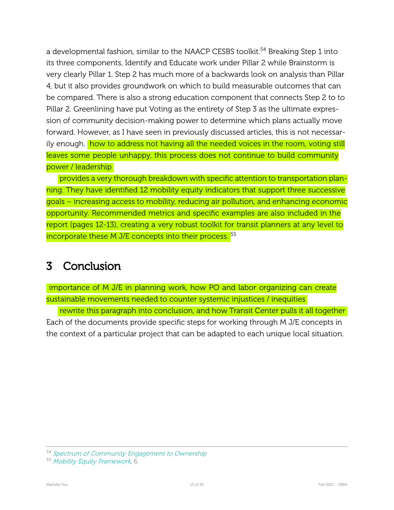a developmental fashion, similar to the NAACP CESBS toolkit.<sup>54</sup> Breaking Step 1 into its three components, Identify and Educate work under Pillar 2 while Brainstorm is very clearly Pillar 1. Step 2 has much more of a backwards look on analysis than Pillar 4, but it also provides groundwork on which to build measurable outcomes that can be compared. There is also a strong education component that connects Step 2 to to Pillar 2. Greenlining have put Voting as the entirety of Step 3 as the ultimate expression of community decision-making power to determine which plans actually move forward. However, as I have seen in previously discussed articles, this is not necessarily enough. how to address not having all the needed voices in the room, voting still leaves some people unhappy, this process does not continue to build community power / leadership

provides a very thorough breakdown with specific attention to transportation planning. They have identified 12 mobility equity indicators that support three successive goals – increasing access to mobility, reducing air pollution, and enhancing economic opportunity. Recommended metrics and specific examples are also included in the report (pages 12-13), creating a very robust toolkit for transit planners at any level to incorporate these M J/E concepts into their process.<sup>55</sup>

# <span id="page-15-0"></span>3 Conclusion

importance of M J/E in planning work, how PO and labor organizing can create sustainable movements needed to counter systemic injustices / inequities

rewrite this paragraph into conclusion, and how Transit Center pulls it all together Each of the documents provide specific steps for working through M J/E concepts in the context of a particular project that can be adapted to each unique local situation.

<sup>54</sup> Spectrum of Community [Engagement](#page-4-2) to Ownership

<sup>55</sup> Mobility Equity [Framework](#page-1-3), 6.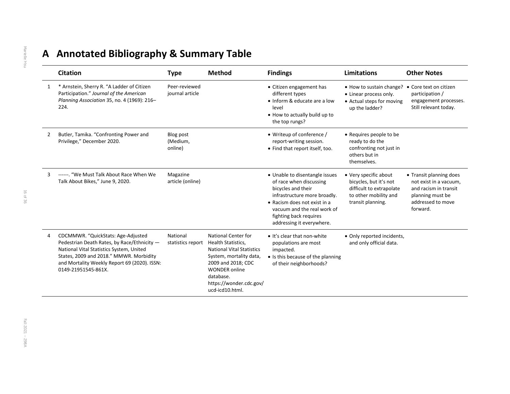# **A Annotated Bibliography & Summary Table**

|   | <b>Citation</b>                                                                                                                                                                                                                                 | <b>Type</b>                      | <b>Method</b>                                                                                                                                                                                                     | <b>Findings</b>                                                                                                                                                                                                                       | Limitations                                                                                                               | <b>Other Notes</b>                                                                                                              |
|---|-------------------------------------------------------------------------------------------------------------------------------------------------------------------------------------------------------------------------------------------------|----------------------------------|-------------------------------------------------------------------------------------------------------------------------------------------------------------------------------------------------------------------|---------------------------------------------------------------------------------------------------------------------------------------------------------------------------------------------------------------------------------------|---------------------------------------------------------------------------------------------------------------------------|---------------------------------------------------------------------------------------------------------------------------------|
| 1 | * Arnstein, Sherry R. "A Ladder of Citizen<br>Participation." Journal of the American<br>Planning Association 35, no. 4 (1969): 216-<br>224.                                                                                                    | Peer-reviewed<br>iournal article |                                                                                                                                                                                                                   | • Citizen engagement has<br>different types<br>• Inform & educate are a low<br>level<br>• How to actually build up to<br>the top rungs?                                                                                               | • How to sustain change?<br>• Linear process only.<br>• Actual steps for moving<br>up the ladder?                         | • Core text on citizen<br>participation /<br>engagement processes.<br>Still relevant today.                                     |
| 2 | Butler, Tamika. "Confronting Power and<br>Privilege," December 2020.                                                                                                                                                                            | Blog post<br>(Medium,<br>online) |                                                                                                                                                                                                                   | • Writeup of conference /<br>report-writing session.<br>• Find that report itself, too.                                                                                                                                               | • Requires people to be<br>ready to do the<br>confronting not just in<br>others but in<br>themselves.                     |                                                                                                                                 |
| 3 | ------. "We Must Talk About Race When We<br>Talk About Bikes," June 9, 2020.                                                                                                                                                                    | Magazine<br>article (online)     |                                                                                                                                                                                                                   | • Unable to disentangle issues<br>of race when discussing<br>bicycles and their<br>infrastructure more broadly.<br>• Racism does not exist in a<br>vacuum and the real work of<br>fighting back requires<br>addressing it everywhere. | • Very specific about<br>bicycles, but it's not<br>difficult to extrapolate<br>to other mobility and<br>transit planning. | • Transit planning does<br>not exist in a vacuum,<br>and racism in transit<br>planning must be<br>addressed to move<br>forward. |
| 4 | CDCMMWR. "QuickStats: Age-Adjusted<br>Pedestrian Death Rates, by Race/Ethnicity -<br>National Vital Statistics System, United<br>States, 2009 and 2018." MMWR. Morbidity<br>and Mortality Weekly Report 69 (2020). ISSN:<br>0149-21951545-861X. | National<br>statistics report    | National Center for<br>Health Statistics,<br><b>National Vital Statistics</b><br>System, mortality data,<br>2009 and 2018; CDC<br><b>WONDER online</b><br>database.<br>https://wonder.cdc.gov/<br>ucd-icd10.html. | • It's clear that non-white<br>populations are most<br>impacted.<br>• Is this because of the planning<br>of their neighborhoods?                                                                                                      | • Only reported incidents,<br>and only official data.                                                                     |                                                                                                                                 |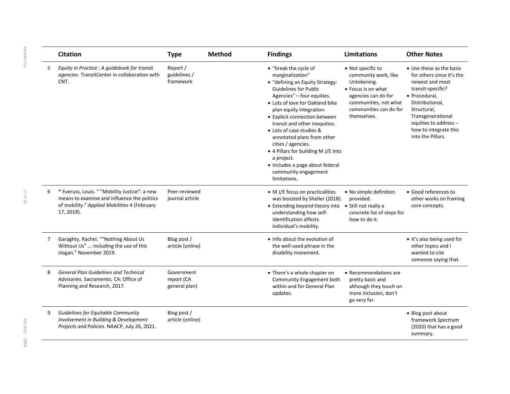|   | <b>Citation</b>                                                                                                                                            | <b>Type</b>                               | <b>Method</b> | <b>Findings</b>                                                                                                                                                                                                                                                                                                                                                                                                                                                                             | <b>Limitations</b>                                                                                                                                                      | <b>Other Notes</b>                                                                                                                                                                                                                           |
|---|------------------------------------------------------------------------------------------------------------------------------------------------------------|-------------------------------------------|---------------|---------------------------------------------------------------------------------------------------------------------------------------------------------------------------------------------------------------------------------------------------------------------------------------------------------------------------------------------------------------------------------------------------------------------------------------------------------------------------------------------|-------------------------------------------------------------------------------------------------------------------------------------------------------------------------|----------------------------------------------------------------------------------------------------------------------------------------------------------------------------------------------------------------------------------------------|
| 5 | Equity in Practice : A guidebook for transit<br>agencies. TransitCenter in collaboration with<br>CNT.                                                      | Report /<br>guidelines /<br>framework     |               | • "break the cycle of<br>marginalization"<br>• "defining an Equity Strategy:<br><b>Guidelines for Public</b><br>Agencies" - four equities.<br>• Lots of love for Oakland bike<br>plan equity integration.<br>• Explicit connection between<br>transit and other inequities.<br>• Lots of case studies &<br>annotated plans from other<br>cities / agencies.<br>• 4 Pillars for building M J/E into<br>a project.<br>• Includes a page about federal<br>community engagement<br>limitations. | • Not specific to<br>community work, like<br>Untokening.<br>• Focus is on what<br>agencies can do for<br>communities, not what<br>communities can do for<br>themselves. | • Use these as the basis<br>for others since it's the<br>newest and most<br>transit-specific?<br>• Procedural,<br>Distributional,<br>Structural,<br>Transgenerational<br>equities to address -<br>how to integrate this<br>into the Pillars. |
| 6 | * Everuss, Louis. " "Mobility Justice": a new<br>means to examine and influence the politics<br>of mobility." Applied Mobilities 4 (February<br>17, 2019). | Peer-reviewed<br>journal article          |               | • M J/E focus on practicalities<br>was boosted by Sheller (2018).<br>• Extending beyond theory into<br>understanding how self-<br>identification affects<br>individual's mobility.                                                                                                                                                                                                                                                                                                          | • No simple definition<br>provided.<br>• Still not really a<br>concrete list of steps for<br>how to do it.                                                              | • Good references to<br>other works on framing<br>core concepts.                                                                                                                                                                             |
| 7 | Garaghty, Rachel. ""Nothing About Us<br>Without Us"  including the use of this<br>slogan," November 2019.                                                  | Blog post /<br>article (online)           |               | • Info about the evolution of<br>the well-used phrase in the<br>disability movement.                                                                                                                                                                                                                                                                                                                                                                                                        |                                                                                                                                                                         | . It's also being used for<br>other topics and I<br>wanted to cite<br>someone saying that.                                                                                                                                                   |
| 8 | <b>General Plan Guidelines and Technical</b><br>Advisories. Sacramento, CA: Office of<br>Planning and Research, 2017.                                      | Government<br>report (CA<br>general plan) |               | • There's a whole chapter on<br>Community Engagement both<br>within and for General Plan<br>updates.                                                                                                                                                                                                                                                                                                                                                                                        | • Recommendations are<br>pretty basic and<br>although they touch on<br>more inclusion, don't<br>go very far.                                                            |                                                                                                                                                                                                                                              |
| 9 | Guidelines for Equitable Community<br>Involvement in Building & Development<br>Projects and Policies. NAACP, July 26, 2021.                                | Blog post /<br>article (online)           |               |                                                                                                                                                                                                                                                                                                                                                                                                                                                                                             |                                                                                                                                                                         | • Blog post about<br>framework Spectrum<br>(2020) that has a good<br>summary.                                                                                                                                                                |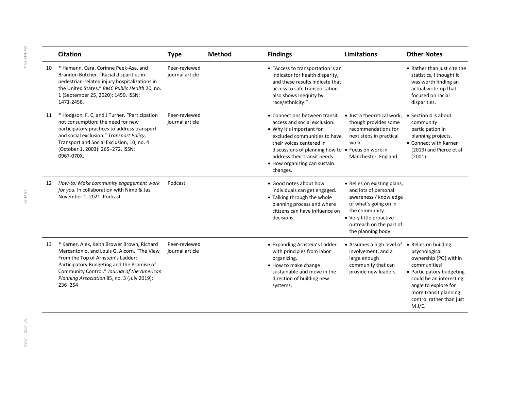|    | <b>Citation</b>                                                                                                                                                                                                                                                                         | <b>Type</b>                      | <b>Method</b> | <b>Findings</b>                                                                                                                                                                                                                                                                        | <b>Limitations</b>                                                                                                                                                                                  | <b>Other Notes</b>                                                                                                                                                                                                            |
|----|-----------------------------------------------------------------------------------------------------------------------------------------------------------------------------------------------------------------------------------------------------------------------------------------|----------------------------------|---------------|----------------------------------------------------------------------------------------------------------------------------------------------------------------------------------------------------------------------------------------------------------------------------------------|-----------------------------------------------------------------------------------------------------------------------------------------------------------------------------------------------------|-------------------------------------------------------------------------------------------------------------------------------------------------------------------------------------------------------------------------------|
| 10 | * Hamann, Cara, Corinne Peek-Asa, and<br>Brandon Butcher. "Racial disparities in<br>pedestrian-related injury hospitalizations in<br>the United States." BMC Public Health 20, no.<br>1 (September 25, 2020): 1459. ISSN:<br>1471-2458.                                                 | Peer-reviewed<br>journal article |               | • "Access to transportation is an<br>indicator for health disparity,<br>and these results indicate that<br>access to safe transportation<br>also shows inequity by<br>race/ethnicity."                                                                                                 |                                                                                                                                                                                                     | • Rather than just cite the<br>statistics, I thought it<br>was worth finding an<br>actual write-up that<br>focused on racial<br>disparities.                                                                                  |
| 11 | * Hodgson, F. C, and J Turner. "Participation<br>not consumption: the need for new<br>participatory practices to address transport<br>and social exclusion." Transport Policy,<br>Transport and Social Exclusion, 10, no. 4<br>(October 1, 2003): 265-272. ISSN:<br>0967-070X.          | Peer-reviewed<br>journal article |               | • Connections between transit<br>access and social exclusion.<br>• Why it's important for<br>excluded communities to have<br>their voices centered in<br>discussions of planning how to • Focus on work in<br>address their transit needs.<br>• How organizing can sustain<br>changes. | • Just a theoretical work,<br>though provides some<br>recommendations for<br>next steps in practical<br>work.<br>Manchester, England.                                                               | • Section 4 is about<br>community<br>participation in<br>planning projects.<br>• Connect with Karner<br>(2019) and Pierce et al<br>(2001).                                                                                    |
| 12 | How-to: Make community engagement work<br>for you. In collaboration with Nimo & Jas.<br>November 1, 2021. Podcast.                                                                                                                                                                      | Podcast                          |               | • Good notes about how<br>individuals can get engaged.<br>• Talking through the whole<br>planning process and where<br>citizens can have influence on<br>decisions.                                                                                                                    | • Relies on existing plans,<br>and lots of personal<br>awareness / knowledge<br>of what's going on in<br>the community.<br>• Very little proactive<br>outreach on the part of<br>the planning body. |                                                                                                                                                                                                                               |
| 13 | * Karner, Alex, Keith Brower Brown, Richard<br>Marcantonio, and Louis G. Alcorn. "The View<br>From the Top of Arnstein's Ladder:<br>Participatory Budgeting and the Promise of<br>Community Control." Journal of the American<br>Planning Association 85, no. 3 (July 2019):<br>236-254 | Peer-reviewed<br>journal article |               | • Expanding Arnstein's Ladder<br>with principles from labor<br>organizing.<br>• How to make change<br>sustainable and move in the<br>direction of building new<br>systems.                                                                                                             | • Assumes a high level of<br>involvement, and a<br>large enough<br>community that can<br>provide new leaders.                                                                                       | • Relies on building<br>psychological<br>ownership (PO) within<br>communities!<br>• Participatory budgeting<br>could be an interesting<br>angle to explore for<br>more transit planning<br>control rather than just<br>M J/E. |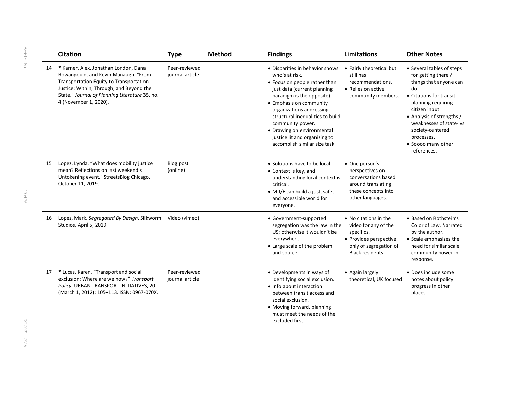|    | <b>Citation</b>                                                                                                                                                                                                                                 | <b>Type</b>                      | <b>Method</b> | <b>Findings</b>                                                                                                                                                                                                                                                                                                                                                | <b>Limitations</b>                                                                                                                  | <b>Other Notes</b>                                                                                                                                                                                                                                                                 |
|----|-------------------------------------------------------------------------------------------------------------------------------------------------------------------------------------------------------------------------------------------------|----------------------------------|---------------|----------------------------------------------------------------------------------------------------------------------------------------------------------------------------------------------------------------------------------------------------------------------------------------------------------------------------------------------------------------|-------------------------------------------------------------------------------------------------------------------------------------|------------------------------------------------------------------------------------------------------------------------------------------------------------------------------------------------------------------------------------------------------------------------------------|
| 14 | * Karner, Alex, Jonathan London, Dana<br>Rowangould, and Kevin Manaugh. "From<br>Transportation Equity to Transportation<br>Justice: Within, Through, and Beyond the<br>State." Journal of Planning Literature 35, no.<br>4 (November 1, 2020). | Peer-reviewed<br>journal article |               | • Disparities in behavior shows<br>who's at risk.<br>• Focus on people rather than<br>just data (current planning<br>paradigm is the opposite).<br>• Emphasis on community<br>organizations addressing<br>structural inequalities to build<br>community power.<br>• Drawing on environmental<br>justice lit and organizing to<br>accomplish similar size task. | • Fairly theoretical but<br>still has<br>recommendations.<br>• Relies on active<br>community members.                               | • Several tables of steps<br>for getting there /<br>things that anyone can<br>do.<br>• Citations for transit<br>planning requiring<br>citizen input.<br>• Analysis of strengths /<br>weaknesses of state-vs<br>society-centered<br>processes.<br>• Soooo many other<br>references. |
| 15 | Lopez, Lynda. "What does mobility justice<br>mean? Reflections on last weekend's<br>Untokening event." StreetsBlog Chicago,<br>October 11, 2019.                                                                                                | Blog post<br>(online)            |               | • Solutions have to be local.<br>• Context is key, and<br>understanding local context is<br>critical.<br>• M J/E can build a just, safe,<br>and accessible world for<br>everyone.                                                                                                                                                                              | • One person's<br>perspectives on<br>conversations based<br>around translating<br>these concepts into<br>other languages.           |                                                                                                                                                                                                                                                                                    |
| 16 | Lopez, Mark. Segregated By Design. Silkworm<br>Studios, April 5, 2019.                                                                                                                                                                          | Video (vimeo)                    |               | • Government-supported<br>segregation was the law in the<br>US: otherwise it wouldn't be<br>everywhere.<br>• Large scale of the problem<br>and source.                                                                                                                                                                                                         | • No citations in the<br>video for any of the<br>specifics.<br>• Provides perspective<br>only of segregation of<br>Black residents. | • Based on Rothstein's<br>Color of Law. Narrated<br>by the author.<br>• Scale emphasizes the<br>need for similar scale<br>community power in<br>response.                                                                                                                          |
| 17 | * Lucas, Karen. "Transport and social<br>exclusion: Where are we now?" Transport<br>Policy, URBAN TRANSPORT INITIATIVES, 20<br>(March 1, 2012): 105-113. ISSN: 0967-070X.                                                                       | Peer-reviewed<br>journal article |               | • Developments in ways of<br>identifying social exclusion.<br>• Info about interaction<br>between transit access and<br>social exclusion.<br>• Moving forward, planning<br>must meet the needs of the<br>excluded first.                                                                                                                                       | • Again largely<br>theoretical, UK focused.                                                                                         | • Does include some<br>notes about policy<br>progress in other<br>places.                                                                                                                                                                                                          |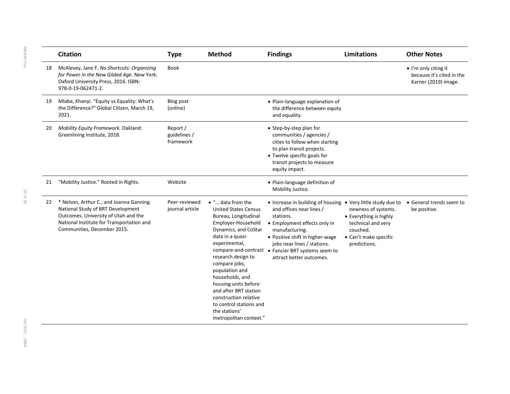|    | <b>Citation</b>                                                                                                                                                                                      | <b>Type</b>                           | Method                                                                                                                                                                                                                                                                                                                                                                                          | <b>Findings</b>                                                                                                                                                                                                                                                                                             | <b>Limitations</b>                                                                                                       | <b>Other Notes</b>                                                                |
|----|------------------------------------------------------------------------------------------------------------------------------------------------------------------------------------------------------|---------------------------------------|-------------------------------------------------------------------------------------------------------------------------------------------------------------------------------------------------------------------------------------------------------------------------------------------------------------------------------------------------------------------------------------------------|-------------------------------------------------------------------------------------------------------------------------------------------------------------------------------------------------------------------------------------------------------------------------------------------------------------|--------------------------------------------------------------------------------------------------------------------------|-----------------------------------------------------------------------------------|
| 18 | McAlevey, Jane F. No Shortcuts: Organizing<br>for Power in the New Gilded Age. New York:<br>Oxford University Press, 2016. ISBN:<br>978-0-19-062471-2.                                               | <b>Book</b>                           |                                                                                                                                                                                                                                                                                                                                                                                                 |                                                                                                                                                                                                                                                                                                             |                                                                                                                          | $\bullet$ I'm only citing it<br>because it's cited in the<br>Karner (2019) image. |
| 19 | Mlaba, Khanyi. "Equity vs Equality: What's<br>the Difference?" Global Citizen, March 19,<br>2021.                                                                                                    | Blog post<br>(online)                 |                                                                                                                                                                                                                                                                                                                                                                                                 | • Plain-language explanation of<br>the difference between equity<br>and equality.                                                                                                                                                                                                                           |                                                                                                                          |                                                                                   |
| 20 | Mobility Equity Framework. Oakland:<br>Greenlining Institute, 2018.                                                                                                                                  | Report /<br>guidelines /<br>framework |                                                                                                                                                                                                                                                                                                                                                                                                 | • Step-by-step plan for<br>communities / agencies /<br>cities to follow when starting<br>to plan transit projects.<br>• Twelve specific goals for<br>transit projects to measure<br>equity impact.                                                                                                          |                                                                                                                          |                                                                                   |
| 21 | "Mobility Justice." Rooted in Rights.                                                                                                                                                                | Website                               |                                                                                                                                                                                                                                                                                                                                                                                                 | · Plain-language definition of<br>Mobility Justice.                                                                                                                                                                                                                                                         |                                                                                                                          |                                                                                   |
|    | 22 * Nelson, Arthur C., and Joanna Ganning.<br>National Study of BRT Development<br>Outcomes. University of Utah and the<br>National Institute for Transportation and<br>Communities, December 2015. | Peer-reviewed<br>journal article      | $\bullet$ " data from the<br><b>United States Census</b><br>Bureau, Longitudinal<br>Employer-Household<br>Dynamics, and CoStar<br>data in a quasi-<br>experimental,<br>research design to<br>compare jobs,<br>population and<br>households, and<br>housing units before<br>and after BRT station<br>construction relative<br>to control stations and<br>the stations'<br>metropolitan context." | • Increase in building of housing • Very little study due to<br>and offices near lines /<br>stations.<br>• Employment effects only in<br>manufacturing.<br>• Positive shift in higher-wage<br>jobs near lines / stations.<br>compare-and-contrast . Fancier BRT systems seem to<br>attract better outcomes. | newness of systems.<br>• Everything is highly<br>technical and very<br>couched.<br>• Can't make specific<br>predictions. | • General trends seem to<br>be positive.                                          |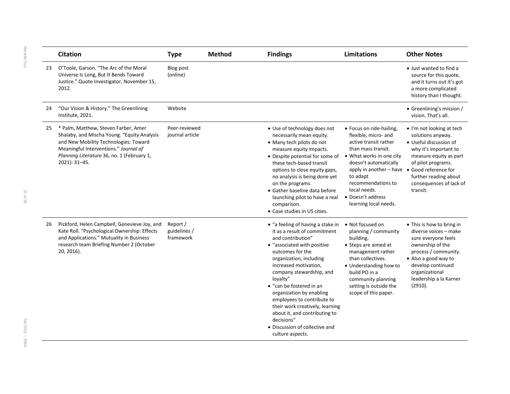|    | <b>Citation</b>                                                                                                                                                                                                                      | <b>Type</b>                           | <b>Method</b> | <b>Findings</b>                                                                                                                                                                                                                                                                                                                                                                                                                                                     | <b>Limitations</b>                                                                                                                                                                                                                                                                                   | <b>Other Notes</b>                                                                                                                                                                                                        |
|----|--------------------------------------------------------------------------------------------------------------------------------------------------------------------------------------------------------------------------------------|---------------------------------------|---------------|---------------------------------------------------------------------------------------------------------------------------------------------------------------------------------------------------------------------------------------------------------------------------------------------------------------------------------------------------------------------------------------------------------------------------------------------------------------------|------------------------------------------------------------------------------------------------------------------------------------------------------------------------------------------------------------------------------------------------------------------------------------------------------|---------------------------------------------------------------------------------------------------------------------------------------------------------------------------------------------------------------------------|
| 23 | O'Toole, Garson. "The Arc of the Moral<br>Universe Is Long, But It Bends Toward<br>Justice." Quote Investigator, November 15,<br>2012.                                                                                               | <b>Blog post</b><br>(online)          |               |                                                                                                                                                                                                                                                                                                                                                                                                                                                                     |                                                                                                                                                                                                                                                                                                      | • Just wanted to find a<br>source for this quote,<br>and it turns out it's got<br>a more complicated<br>history than I thought.                                                                                           |
| 24 | "Our Vision & History." The Greenlining<br>Institute, 2021.                                                                                                                                                                          | Website                               |               |                                                                                                                                                                                                                                                                                                                                                                                                                                                                     |                                                                                                                                                                                                                                                                                                      | • Greenlining's mission /<br>vision. That's all.                                                                                                                                                                          |
| 25 | * Palm, Matthew, Steven Farber, Amer<br>Shalaby, and Mischa Young. "Equity Analysis<br>and New Mobility Technologies: Toward<br>Meaningful Interventions." Journal of<br>Planning Literature 36, no. 1 (February 1,<br>2021): 31-45. | Peer-reviewed<br>journal article      |               | • Use of technology does not<br>necessarily mean equity.<br>• Many tech pilots do not<br>measure equity impacts.<br>• Despite potential for some of<br>these tech-based transit<br>options to close equity gaps,<br>no analysis is being done yet<br>on the programs.<br>• Gather baseline data before<br>launching pilot to have a real<br>comparison.<br>• Case studies in US cities.                                                                             | • Focus on ride-hailing,<br>flexible, micro- and<br>active transit rather<br>than mass transit.<br>• What works in one city<br>doesn't automatically<br>apply in another - have ● Good reference for<br>to adapt<br>recommendations to<br>local needs.<br>• Doesn't address<br>learning local needs. | • I'm not looking at tech<br>solutions anyway.<br>• Useful discussion of<br>why it's important to<br>measure equity as part<br>of pilot programs.<br>further reading about<br>consequences of lack of<br>transit.         |
| 26 | Pickford, Helen Campbell, Genevieve Joy, and<br>Kate Roll. "Psychological Ownership: Effects<br>and Applications." Mutuality in Business<br>research team Briefing Number 2 (October<br>20, 2016).                                   | Report /<br>guidelines /<br>framework |               | • "a feeling of having a stake in<br>it as a result of commitment<br>and contribution"<br>• "associated with positive<br>outcomes for the<br>organization, including<br>increased motivation,<br>company stewardship, and<br>loyalty"<br>• "can be fostered in an<br>organization by enabling<br>employees to contribute to<br>their work creatively, learning<br>about it, and contributing to<br>decisions"<br>• Discussion of collective and<br>culture aspects. | • Not focused on<br>planning / community<br>building.<br>• Steps are aimed at<br>management rather<br>than collectives.<br>• Understanding how to<br>build PO in a<br>community planning<br>setting is outside the<br>scope of this paper.                                                           | • This is how to bring in<br>diverse voices - make<br>sure everyone feels<br>ownership of the<br>process / community.<br>• Also a good way to<br>develop continued<br>organizational<br>leadership a la Karner<br>(2910). |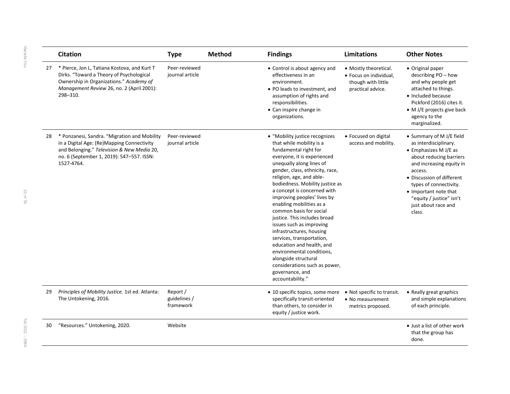|    | <b>Citation</b>                                                                                                                                                                                     | <b>Type</b>                           | <b>Method</b> | <b>Findings</b>                                                                                                                                                                                                                                                                                                                                                                                                                                                                                                                                                                                                                                      | <b>Limitations</b>                                                                         | <b>Other Notes</b>                                                                                                                                                                                                                                                                                |
|----|-----------------------------------------------------------------------------------------------------------------------------------------------------------------------------------------------------|---------------------------------------|---------------|------------------------------------------------------------------------------------------------------------------------------------------------------------------------------------------------------------------------------------------------------------------------------------------------------------------------------------------------------------------------------------------------------------------------------------------------------------------------------------------------------------------------------------------------------------------------------------------------------------------------------------------------------|--------------------------------------------------------------------------------------------|---------------------------------------------------------------------------------------------------------------------------------------------------------------------------------------------------------------------------------------------------------------------------------------------------|
| 27 | * Pierce, Jon L, Tatiana Kostova, and Kurt T<br>Dirks. "Toward a Theory of Psychological<br>Ownership in Organizations." Academy of<br>Management Review 26, no. 2 (April 2001):<br>298-310.        | Peer-reviewed<br>journal article      |               | • Control is about agency and<br>effectiveness in an<br>environment.<br>• PO leads to investment, and<br>assumption of rights and<br>responsibilities.<br>• Can inspire change in<br>organizations.                                                                                                                                                                                                                                                                                                                                                                                                                                                  | • Mostly theoretical.<br>· Focus on individual,<br>though with little<br>practical advice. | • Original paper<br>describing PO - how<br>and why people get<br>attached to things.<br>• Included because<br>Pickford (2016) cites it.<br>• M J/E projects give back<br>agency to the<br>marginalized.                                                                                           |
| 28 | * Ponzanesi, Sandra. "Migration and Mobility<br>in a Digital Age: (Re)Mapping Connectivity<br>and Belonging." Television & New Media 20,<br>no. 6 (September 1, 2019): 547-557. ISSN:<br>1527-4764. | Peer-reviewed<br>journal article      |               | • "Mobility justice recognizes<br>that while mobility is a<br>fundamental right for<br>everyone, it is experienced<br>unequally along lines of<br>gender, class, ethnicity, race,<br>religion, age, and able-<br>bodiedness. Mobility justice as<br>a concept is concerned with<br>improving peoples' lives by<br>enabling mobilities as a<br>common basis for social<br>justice. This includes broad<br>issues such as improving<br>infrastructures, housing<br>services, transportation,<br>education and health, and<br>environmental conditions,<br>alongside structural<br>considerations such as power,<br>governance, and<br>accountability." | • Focused on digital<br>access and mobility.                                               | • Summary of M J/E field<br>as interdisciplinary.<br>$\bullet$ Emphasizes M J/E as<br>about reducing barriers<br>and increasing equity in<br>access.<br>• Discussion of different<br>types of connectivity.<br>• Important note that<br>"equity / justice" isn't<br>just about race and<br>class. |
| 29 | Principles of Mobility Justice. 1st ed. Atlanta:<br>The Untokening, 2016.                                                                                                                           | Report /<br>guidelines /<br>framework |               | • 10 specific topics, some more<br>specifically transit-oriented<br>than others, to consider in<br>equity / justice work.                                                                                                                                                                                                                                                                                                                                                                                                                                                                                                                            | • Not specific to transit.<br>• No measurement<br>metrics proposed.                        | • Really great graphics<br>and simple explanations<br>of each principle.                                                                                                                                                                                                                          |
| 30 | "Resources." Untokening, 2020.                                                                                                                                                                      | Website                               |               |                                                                                                                                                                                                                                                                                                                                                                                                                                                                                                                                                                                                                                                      |                                                                                            | • Just a list of other work<br>that the group has<br>done.                                                                                                                                                                                                                                        |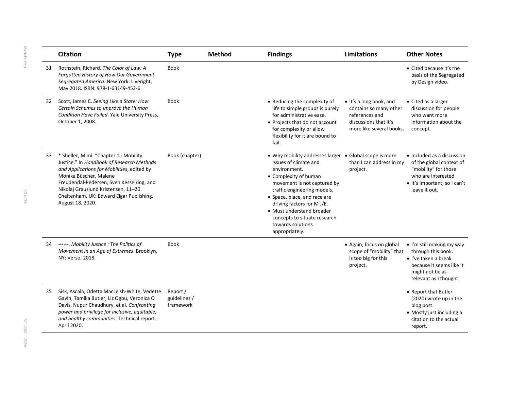|    | <b>Citation</b>                                                                                                                                                                                                                                                                                                 | <b>Type</b>                           | <b>Method</b> | <b>Findings</b>                                                                                                                                                                                                                                                                                                                                          | <b>Limitations</b>                                                                                                               | <b>Other Notes</b>                                                                                                                                       |
|----|-----------------------------------------------------------------------------------------------------------------------------------------------------------------------------------------------------------------------------------------------------------------------------------------------------------------|---------------------------------------|---------------|----------------------------------------------------------------------------------------------------------------------------------------------------------------------------------------------------------------------------------------------------------------------------------------------------------------------------------------------------------|----------------------------------------------------------------------------------------------------------------------------------|----------------------------------------------------------------------------------------------------------------------------------------------------------|
| 31 | Rothstein, Richard. The Color of Law: A<br>Forgotten History of How Our Government<br>Segregated America. New York: Liveright,<br>May 2018. ISBN: 978-1-63149-453-6                                                                                                                                             | <b>Book</b>                           |               |                                                                                                                                                                                                                                                                                                                                                          |                                                                                                                                  | • Cited because it's the<br>basis of the Segregated<br>by Design video.                                                                                  |
| 32 | Scott, James C. Seeing Like a State: How<br>Certain Schemes to Improve the Human<br>Condition Have Failed. Yale University Press,<br>October 1, 2008.                                                                                                                                                           | <b>Book</b>                           |               | • Reducing the complexity of<br>life to simple groups is purely<br>for administrative ease.<br>• Projects that do not account<br>for complexity or allow<br>flexibility for it are bound to<br>fail.                                                                                                                                                     | $\bullet$ It's a long book, and<br>contains so many other<br>references and<br>discussions that it's<br>more like several books. | • Cited as a larger<br>discussion for people<br>who want more<br>information about the<br>concept.                                                       |
| 33 | * Sheller, Mimi. "Chapter 1: Mobility<br>Justice." In Handbook of Research Methods<br>and Applications for Mobilities, edited by<br>Monika Büscher, Malene<br>Freudendal-Pedersen, Sven Kesselring, and<br>Nikolaj Grauslund Kristensen, 11-20.<br>Cheltenham, UK: Edward Elgar Publishing,<br>August 18, 2020. | Book (chapter)                        |               | • Why mobility addresses larger • Global scope is more<br>issues of climate and<br>environment.<br>• Complexity of human<br>movement is not captured by<br>traffic engineering models.<br>• Space, place, and race are<br>driving factors for M J/E.<br>• Must understand broader<br>concepts to situate research<br>towards solutions<br>appropriately. | than I can address in my<br>project.                                                                                             | • Included as a discussion<br>of the global context of<br>"mobility" for those<br>who are interested.<br>• It's important, so I can't<br>leave it out.   |
|    | 34 ------. Mobility Justice: The Politics of<br>Movement in an Age of Extremes. Brooklyn,<br>NY: Verso, 2018.                                                                                                                                                                                                   | <b>Book</b>                           |               |                                                                                                                                                                                                                                                                                                                                                          | • Again, focus on global<br>scope of "mobility" that<br>is too big for this<br>project.                                          | • I'm still making my way<br>through this book.<br>$\bullet$ I've taken a break<br>because it seems like it<br>might not be as<br>relevant as I thought. |
| 35 | Sisk, Ascala, Odetta MacLeish-White, Vedette<br>Gavin, Tamika Butler, Liz Ogbu, Veronica O<br>Davis, Nupur Chaudhury, et al. Confronting<br>power and privilege for inclusive, equitable,<br>and healthy communities. Technical report.<br>April 2020.                                                          | Report /<br>guidelines /<br>framework |               |                                                                                                                                                                                                                                                                                                                                                          |                                                                                                                                  | • Report that Butler<br>(2020) wrote up in the<br>blog post.<br>• Mostly just including a<br>citation to the actual<br>report.                           |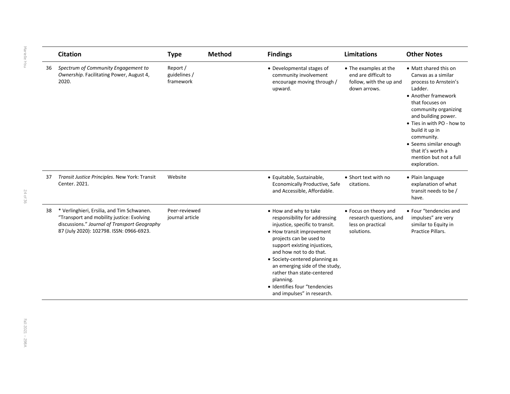|    | <b>Citation</b>                                                                                                                                                                     | <b>Type</b>                           | <b>Method</b> | <b>Findings</b>                                                                                                                                                                                                                                                                                                                                                                            | Limitations                                                                              | <b>Other Notes</b>                                                                                                                                                                                                                                                                                                               |
|----|-------------------------------------------------------------------------------------------------------------------------------------------------------------------------------------|---------------------------------------|---------------|--------------------------------------------------------------------------------------------------------------------------------------------------------------------------------------------------------------------------------------------------------------------------------------------------------------------------------------------------------------------------------------------|------------------------------------------------------------------------------------------|----------------------------------------------------------------------------------------------------------------------------------------------------------------------------------------------------------------------------------------------------------------------------------------------------------------------------------|
| 36 | Spectrum of Community Engagement to<br>Ownership. Facilitating Power, August 4,<br>2020.                                                                                            | Report /<br>guidelines /<br>framework |               | • Developmental stages of<br>community involvement<br>encourage moving through /<br>upward.                                                                                                                                                                                                                                                                                                | • The examples at the<br>end are difficult to<br>follow, with the up and<br>down arrows. | • Matt shared this on<br>Canvas as a similar<br>process to Arnstein's<br>Ladder.<br>• Another framework<br>that focuses on<br>community organizing<br>and building power.<br>• Ties in with PO - how to<br>build it up in<br>community.<br>• Seems similar enough<br>that it's worth a<br>mention but not a full<br>exploration. |
| 37 | Transit Justice Principles. New York: Transit<br>Center. 2021.                                                                                                                      | Website                               |               | · Equitable, Sustainable,<br>Economically Productive, Safe<br>and Accessible, Affordable.                                                                                                                                                                                                                                                                                                  | • Short text with no<br>citations.                                                       | • Plain language<br>explanation of what<br>transit needs to be /<br>have.                                                                                                                                                                                                                                                        |
| 38 | * Verlinghieri, Ersilia, and Tim Schwanen.<br>"Transport and mobility justice: Evolving<br>discussions." Journal of Transport Geography<br>87 (July 2020): 102798. ISSN: 0966-6923. | Peer-reviewed<br>journal article      |               | • How and why to take<br>responsibility for addressing<br>injustice, specific to transit.<br>• How transit improvement<br>projects can be used to<br>support existing injustices,<br>and how not to do that.<br>• Society-centered planning as<br>an emerging side of the study,<br>rather than state-centered<br>planning.<br>· Identifies four "tendencies<br>and impulses" in research. | • Focus on theory and<br>research questions, and<br>less on practical<br>solutions.      | • Four "tendencies and<br>impulses" are very<br>similar to Equity in<br>Practice Pillars.                                                                                                                                                                                                                                        |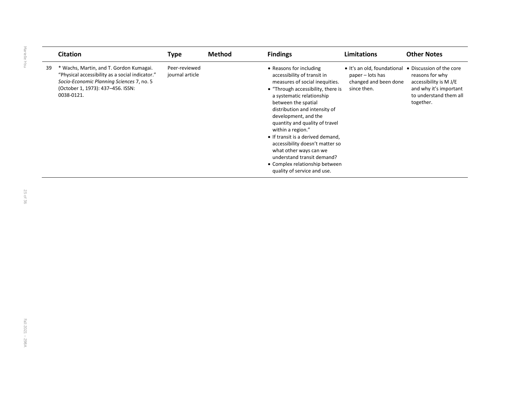|     | <b>Citation</b>                                                                                                                                                                            | <b>Type</b>                      | <b>Method</b> | <b>Findings</b>                                                                                                                                                                                                                                                                                                                                                                                                                                                                                     | <b>Limitations</b>                                                                                               | <b>Other Notes</b>                                                                                         |
|-----|--------------------------------------------------------------------------------------------------------------------------------------------------------------------------------------------|----------------------------------|---------------|-----------------------------------------------------------------------------------------------------------------------------------------------------------------------------------------------------------------------------------------------------------------------------------------------------------------------------------------------------------------------------------------------------------------------------------------------------------------------------------------------------|------------------------------------------------------------------------------------------------------------------|------------------------------------------------------------------------------------------------------------|
| -39 | * Wachs, Martin, and T. Gordon Kumagai.<br>"Physical accessibility as a social indicator."<br>Socio-Economic Planning Sciences 7, no. 5<br>(October 1, 1973): 437-456. ISSN:<br>0038-0121. | Peer-reviewed<br>journal article |               | • Reasons for including<br>accessibility of transit in<br>measures of social inequities.<br>• "Through accessibility, there is<br>a systematic relationship<br>between the spatial<br>distribution and intensity of<br>development, and the<br>quantity and quality of travel<br>within a region."<br>• If transit is a derived demand,<br>accessibility doesn't matter so<br>what other ways can we<br>understand transit demand?<br>• Complex relationship between<br>quality of service and use. | • It's an old, foundational • Discussion of the core<br>paper – lots has<br>changed and been done<br>since then. | reasons for why<br>accessibility is M J/E<br>and why it's important<br>to understand them all<br>together. |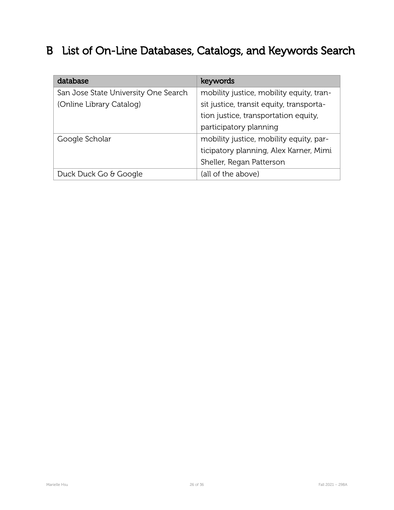# B List of On-Line Databases, Catalogs, and Keywords Search

| database                             | keywords                                 |
|--------------------------------------|------------------------------------------|
| San Jose State University One Search | mobility justice, mobility equity, tran- |
| (Online Library Catalog)             | sit justice, transit equity, transporta- |
|                                      | tion justice, transportation equity,     |
|                                      | participatory planning                   |
| Google Scholar                       | mobility justice, mobility equity, par-  |
|                                      | ticipatory planning, Alex Karner, Mimi   |
|                                      | Sheller, Regan Patterson                 |
| Duck Duck Go & Google                | (all of the above)                       |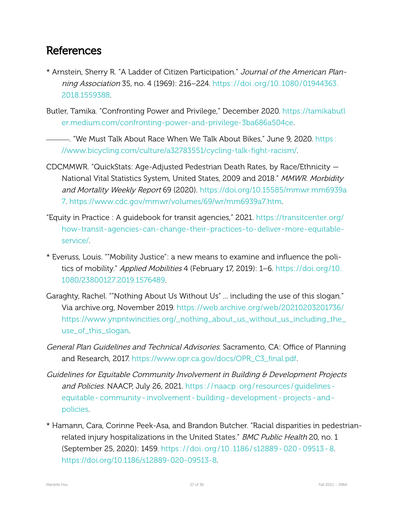### <span id="page-27-0"></span>References

- \* Arnstein, Sherry R. "A Ladder of Citizen Participation." Journal of the American Planning Association 35, no. 4 (1969): 216–224. [https: / /doi.org /10.1080 /01944363.](https://doi.org/10.1080/01944363.2018.1559388) [2018.1559388.](https://doi.org/10.1080/01944363.2018.1559388)
- Butler, Tamika. "Confronting Power and Privilege," December 2020. [https://tamikabutl](https://tamikabutler.medium.com/confronting-power-and-privilege-3ba686a504ce) er.medium.com/confronting-power-and-privilege-3ba686a504ce.
	- . . . . . "We Must Talk About Race When We Talk About Bikes," June 9, 2020. [https:](https://www.bicycling.com/culture/a32783551/cycling-talk-fight-racism/) //www.bicycling.com/culture/a32783551/cycling-talk-fight-racism/.
- CDCMMWR. "QuickStats: Age-Adjusted Pedestrian Death Rates, by Race/Ethnicity  $-$ National Vital Statistics System, United States, 2009 and 2018." MMWR. Morbidity and Mortality Weekly Report 69 (2020). [https://doi.org/10.15585/mmwr.mm6939a](https://doi.org/10.15585/mmwr.mm6939a7) [7](https://doi.org/10.15585/mmwr.mm6939a7). [https://www.cdc.gov/mmwr/volumes/69/wr/mm6939a7.htm.](https://www.cdc.gov/mmwr/volumes/69/wr/mm6939a7.htm)
- "Equity in Practice : A guidebook for transit agencies," 2021. [https://transitcenter.org/](https://transitcenter.org/how-transit-agencies-can-change-their-practices-to-deliver-more-equitable-service/) how-transit-agencies-can-change-their-practices-to-deliver-more-equitable[service/.](https://transitcenter.org/how-transit-agencies-can-change-their-practices-to-deliver-more-equitable-service/)
- \* Everuss, Louis. ""Mobility Justice": a new means to examine and influence the politics of mobility." Applied Mobilities 4 (February 17, 2019): 1–6. [https://doi.org/10.](https://doi.org/10.1080/23800127.2019.1576489) [1080/23800127.2019.1576489.](https://doi.org/10.1080/23800127.2019.1576489)
- Garaghty, Rachel. ""Nothing About Us Without Us" ... including the use of this slogan." Via archive.org, November 2019. [https://web.archive.org/web/20210203201736/](https://web.archive.org/web/20210203201736/https://www.ynpntwincities.org/_nothing_about_us_without_us_including_the_use_of_this_slogan) [https://www.ynpntwincities.org/\\_nothing\\_about\\_us\\_without\\_us\\_including\\_the\\_](https://web.archive.org/web/20210203201736/https://www.ynpntwincities.org/_nothing_about_us_without_us_including_the_use_of_this_slogan) [use\\_of\\_this\\_slogan](https://web.archive.org/web/20210203201736/https://www.ynpntwincities.org/_nothing_about_us_without_us_including_the_use_of_this_slogan).
- General Plan Guidelines and Technical Advisories. Sacramento, CA: Office of Planning and Research, 2017. [https://www.opr.ca.gov/docs/OPR\\_C3\\_final.pdf.](https://www.opr.ca.gov/docs/OPR_C3_final.pdf)
- Guidelines for Equitable Community Involvement in Building & Development Projects and Policies. NAACP, July 26, 2021. https://naacp.org/resources/guidelinesequitable - community - involvement - building - development - projects - and [policies](https://naacp.org/resources/guidelines-equitable-community-involvement-building-development-projects-and-policies).
- \* Hamann, Cara, Corinne Peek-Asa, and Brandon Butcher. "Racial disparities in pedestrianrelated injury hospitalizations in the United States." BMC Public Health 20, no. 1 (September 25, 2020): 1459. https://doi.org/10.1186/s12889-020-09513-8. https://doi.org/10.1186/s12889-020-09513-8.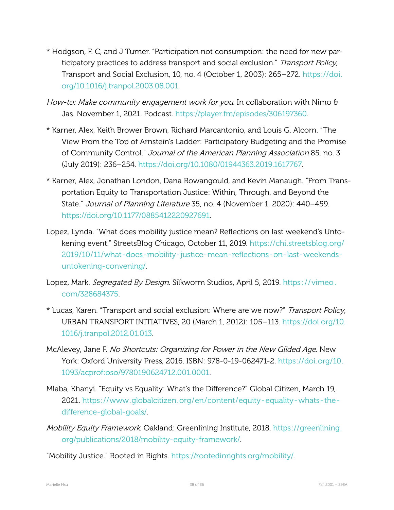- \* Hodgson, F. C, and J Turner. "Participation not consumption: the need for new participatory practices to address transport and social exclusion." Transport Policy, Transport and Social Exclusion, 10, no. 4 (October 1, 2003): 265–272. [https://doi.](https://doi.org/10.1016/j.tranpol.2003.08.001) [org/10.1016/j.tranpol.2003.08.001](https://doi.org/10.1016/j.tranpol.2003.08.001).
- How-to: Make community engagement work for you. In collaboration with Nimo & Jas. November 1, 2021. Podcast. [https://player.fm/episodes/306197360.](https://player.fm/episodes/306197360)
- \* Karner, Alex, Keith Brower Brown, Richard Marcantonio, and Louis G. Alcorn. "The View From the Top of Arnstein's Ladder: Participatory Budgeting and the Promise of Community Control." Journal of the American Planning Association 85, no. 3 (July 2019): 236–254. <https://doi.org/10.1080/01944363.2019.1617767>.
- \* Karner, Alex, Jonathan London, Dana Rowangould, and Kevin Manaugh. "From Transportation Equity to Transportation Justice: Within, Through, and Beyond the State." Journal of Planning Literature 35, no. 4 (November 1, 2020): 440–459. <https://doi.org/10.1177/0885412220927691>.
- Lopez, Lynda. "What does mobility justice mean? Reflections on last weekend's Untokening event." StreetsBlog Chicago, October 11, 2019. [https://chi.streetsblog.org/](https://chi.streetsblog.org/2019/10/11/what-does-mobility-justice-mean-reflections-on-last-weekends-untokening-convening/) 2019/10/11/what-does-mobility-justice-mean-reflections-on-last-weekendsuntokening-convening/
- Lopez, Mark. Segregated By Design. Silkworm Studios, April 5, 2019. https://vimeo. [com/328684375.](https://vimeo.com/328684375)
- \* Lucas, Karen. "Transport and social exclusion: Where are we now?" Transport Policy, URBAN TRANSPORT INITIATIVES, 20 (March 1, 2012): 105–113. [https://doi.org/10.](https://doi.org/10.1016/j.tranpol.2012.01.013) [1016/j.tranpol.2012.01.013](https://doi.org/10.1016/j.tranpol.2012.01.013).
- McAlevey, Jane F. No Shortcuts: Organizing for Power in the New Gilded Age. New York: Oxford University Press, 2016. ISBN: 978-0-19-062471-2. [https://doi.org/10.](https://doi.org/10.1093/acprof:oso/9780190624712.001.0001) [1093/acprof:oso/9780190624712.001.0001](https://doi.org/10.1093/acprof:oso/9780190624712.001.0001).
- Mlaba, Khanyi. "Equity vs Equality: What's the Difference?" Global Citizen, March 19, 2021. https://www.globalcitizen.org/en/content/equity-equality-whats-thedifference-global-goals/
- Mobility Equity Framework. Oakland: Greenlining Institute, 2018. [https://greenlining.](https://greenlining.org/publications/2018/mobility-equity-framework/) org/publications/2018/mobility-equity-framework/.
- "Mobility Justice." Rooted in Rights. <https://rootedinrights.org/mobility/>.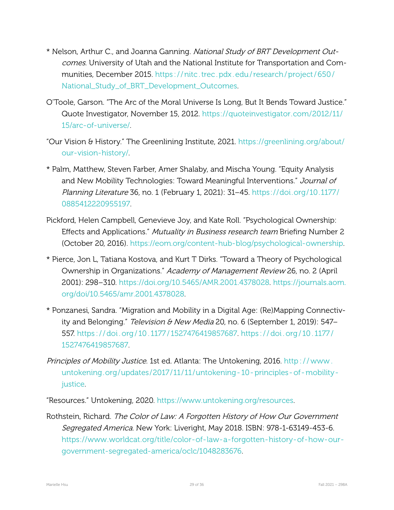- \* Nelson, Arthur C., and Joanna Ganning. National Study of BRT Development Outcomes. University of Utah and the National Institute for Transportation and Communities, December 2015. https://nitc.trec.pdx.edu/research/project/650/ [National\\_Study\\_of\\_BRT\\_Development\\_Outcomes.](https://nitc.trec.pdx.edu/research/project/650/National_Study_of_BRT_Development_Outcomes)
- O'Toole, Garson. "The Arc of the Moral Universe Is Long, But It Bends Toward Justice." Quote Investigator, November 15, 2012. [https://quoteinvestigator.com/2012/11/](https://quoteinvestigator.com/2012/11/15/arc-of-universe/) 15/arc-of-universe/.
- "Our Vision & History." The Greenlining Institute, 2021. [https://greenlining.org/about/](https://greenlining.org/about/our-vision-history/) our-vision-history/.
- \* Palm, Matthew, Steven Farber, Amer Shalaby, and Mischa Young. "Equity Analysis and New Mobility Technologies: Toward Meaningful Interventions." Journal of Planning Literature 36, no. 1 (February 1, 2021): 31–45. https://doi.org/10.1177/ [0885412220955197](https://doi.org/10.1177/0885412220955197).
- Pickford, Helen Campbell, Genevieve Joy, and Kate Roll. "Psychological Ownership: Effects and Applications." *Mutuality in Business research team* Briefing Number 2 (October 20, 2016). https://eom.org/content-hub-blog/psychological-ownership.
- \* Pierce, Jon L, Tatiana Kostova, and Kurt T Dirks. "Toward a Theory of Psychological Ownership in Organizations." Academy of Management Review 26, no. 2 (April 2001): 298–310. [https://doi.org/10.5465/AMR.2001.4378028.](https://doi.org/10.5465/AMR.2001.4378028) [https://journals.aom.](https://journals.aom.org/doi/10.5465/amr.2001.4378028) [org/doi/10.5465/amr.2001.4378028](https://journals.aom.org/doi/10.5465/amr.2001.4378028).
- \* Ponzanesi, Sandra. "Migration and Mobility in a Digital Age: (Re)Mapping Connectivity and Belonging." Television & New Media 20, no. 6 (September 1, 2019): 547– 557. [https : / / doi . org / 10 . 1177 / 1527476419857687.](https://doi.org/10.1177/1527476419857687) [https : / / doi . org / 10 . 1177 /](https://doi.org/10.1177/1527476419857687) [1527476419857687](https://doi.org/10.1177/1527476419857687).
- Principles of Mobility Justice. 1st ed. Atlanta: The Untokening, 2016. http://www. untokening.org/updates/2017/11/11/untokening - 10 - principles - of - mobility [justice](http://www.untokening.org/updates/2017/11/11/untokening-10-principles-of-mobility-justice).

"Resources." Untokening, 2020. [https://www.untokening.org/resources.](https://www.untokening.org/resources)

Rothstein, Richard. The Color of Law: A Forgotten History of How Our Government Segregated America. New York: Liveright, May 2018. ISBN: 978-1-63149-453-6. https://www.worldcat.org/title/color-of-law-a-forgotten-history-of-how-ourgovernment-segregated-america/oclc/1048283676.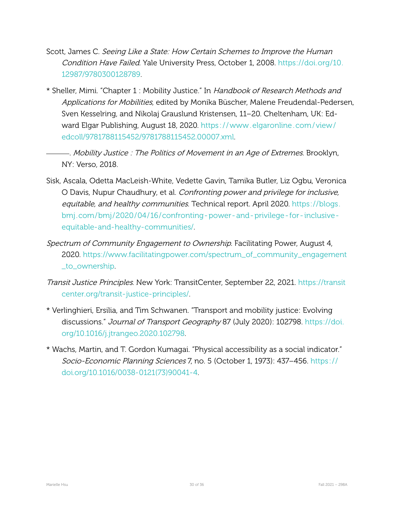- Scott, James C. Seeing Like <sup>a</sup> State: How Certain Schemes to Improve the Human Condition Have Failed. Yale University Press, October 1, 2008. [https://doi.org/10.](https://doi.org/10.12987/9780300128789) [12987/9780300128789](https://doi.org/10.12987/9780300128789).
- \* Sheller, Mimi. "Chapter 1 : Mobility Justice." In Handbook of Research Methods and Applications for Mobilities, edited by Monika Büscher, Malene Freudendal-Pedersen, Sven Kesselring, and Nikolaj Grauslund Kristensen, 11–20. Cheltenham, UK: Edward Elgar Publishing, August 18, 2020. [https: / /www . elgaronline . com / view /](https://www.elgaronline.com/view/edcoll/9781788115452/9781788115452.00007.xml) [edcoll/9781788115452/9781788115452.00007.xml.](https://www.elgaronline.com/view/edcoll/9781788115452/9781788115452.00007.xml)
	- . Mobility Justice : The Politics of Movement in an Age of Extremes. Brooklyn, NY: Verso, 2018.
- Sisk, Ascala, Odetta MacLeish-White, Vedette Gavin, Tamika Butler, Liz Ogbu, Veronica O Davis, Nupur Chaudhury, et al. Confronting power and privilege for inclusive, equitable, and healthy communities. Technical report. April 2020. [https://blogs.](https://blogs.bmj.com/bmj/2020/04/16/confronting-power-and-privilege-for-inclusive-equitable-and-healthy-communities/) bmj.com/bmj/2020/04/16/confronting-power-and-privilege-for-inclusiveequitable-and-healthy-communities/.
- Spectrum of Community Engagement to Ownership. Facilitating Power, August 4, 2020. [https://www.facilitatingpower.com/spectrum\\_of\\_community\\_engagement](https://www.facilitatingpower.com/spectrum_of_community_engagement_to_ownership) [\\_to\\_ownership.](https://www.facilitatingpower.com/spectrum_of_community_engagement_to_ownership)
- Transit Justice Principles. New York: TransitCenter, September 22, 2021. [https://transit](https://transitcenter.org/transit-justice-principles/) center.org/transit-justice-principles/.
- \* Verlinghieri, Ersilia, and Tim Schwanen. "Transport and mobility justice: Evolving discussions." Journal of Transport Geography 87 (July 2020): 102798. [https://doi.](https://doi.org/10.1016/j.jtrangeo.2020.102798) [org/10.1016/j.jtrangeo.2020.102798.](https://doi.org/10.1016/j.jtrangeo.2020.102798)
- \* Wachs, Martin, and T. Gordon Kumagai. "Physical accessibility as a social indicator." Socio-Economic Planning Sciences 7, no. 5 (October 1, 1973): 437-456. https:// doi.org/10.1016/0038-0121(73)90041-4.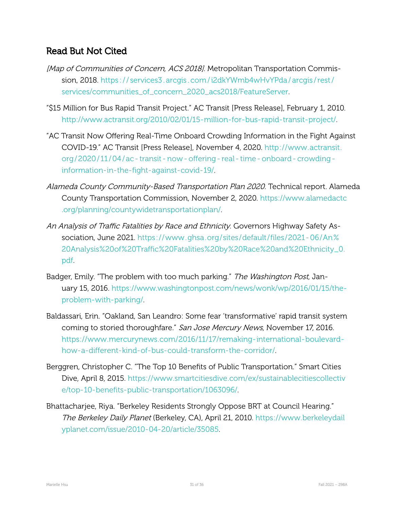### Read But Not Cited

- [Map of Communities of Concern, ACS 2018]. Metropolitan Transportation Commission, 2018. [https : / / services3 . arcgis . com / i2dkYWmb4wHvYPda / arcgis / rest /](https://services3.arcgis.com/i2dkYWmb4wHvYPda/arcgis/rest/services/communities_of_concern_2020_acs2018/FeatureServer) [services/communities\\_of\\_concern\\_2020\\_acs2018/FeatureServer](https://services3.arcgis.com/i2dkYWmb4wHvYPda/arcgis/rest/services/communities_of_concern_2020_acs2018/FeatureServer).
- "\$15 Million for Bus Rapid Transit Project." AC Transit [Press Release], February 1, 2010. http://www.actransit.org/2010/02/01/15-million-for-bus-rapid-transit-project/.
- "AC Transit Now Offering Real-Time Onboard Crowding Information in the Fight Against COVID19." AC Transit [Press Release], November 4, 2020. [http://www.actransit.](http://www.actransit.org/2020/11/04/ac-transit-now-offering-real-time-onboard-crowding-information-in-the-fight-against-covid-19/) org / 2020 / 11 / 04 / ac - transit - now - offering - real - time - onboard - crowding information-in-the-fight-against-covid-19/.
- Alameda County Community-Based Transportation Plan 2020. Technical report. Alameda County Transportation Commission, November 2, 2020. [https://www.alamedactc](https://www.alamedactc.org/planning/countywidetransportationplan/) [.org/planning/countywidetransportationplan/](https://www.alamedactc.org/planning/countywidetransportationplan/).
- An Analysis of Traffic Fatalities by Race and Ethnicity. Governors Highway Safety Association, June 2021. https://www.ghsa.org/sites/default/files/2021-06/An% [20Analysis%20of%20Traffic%20Fatalities%20by%20Race%20and%20Ethnicity\\_0.](https://www.ghsa.org/sites/default/files/2021-06/An%20Analysis%20of%20Traffic%20Fatalities%20by%20Race%20and%20Ethnicity_0.pdf) [pdf.](https://www.ghsa.org/sites/default/files/2021-06/An%20Analysis%20of%20Traffic%20Fatalities%20by%20Race%20and%20Ethnicity_0.pdf)
- Badger, Emily. "The problem with too much parking." The Washington Post, January 15, 2016. [https://www.washingtonpost.com/news/wonk/wp/2016/01/15/the](https://www.washingtonpost.com/news/wonk/wp/2016/01/15/the-problem-with-parking/)problem-with-parking/
- Baldassari, Erin. "Oakland, San Leandro: Some fear 'transformative' rapid transit system coming to storied thoroughfare." San Jose Mercury News, November 17, 2016. https://www.mercurynews.com/2016/11/17/remaking-international-boulevardhow-a-different-kind-of-bus-could-transform-the-corridor/.
- Berggren, Christopher C. "The Top 10 Benefits of Public Transportation." Smart Cities Dive, April 8, 2015. [https://www.smartcitiesdive.com/ex/sustainablecitiescollectiv](https://www.smartcitiesdive.com/ex/sustainablecitiescollective/top-10-benefits-public-transportation/1063096/) e/top-10-benefits-public-transportation/1063096/.
- Bhattacharjee, Riya. "Berkeley Residents Strongly Oppose BRT at Council Hearing." The Berkeley Daily Planet (Berkeley, CA), April 21, 2010. [https://www.berkeleydail](https://www.berkeleydailyplanet.com/issue/2010-04-20/article/35085) yplanet.com/issue/2010-04-20/article/35085.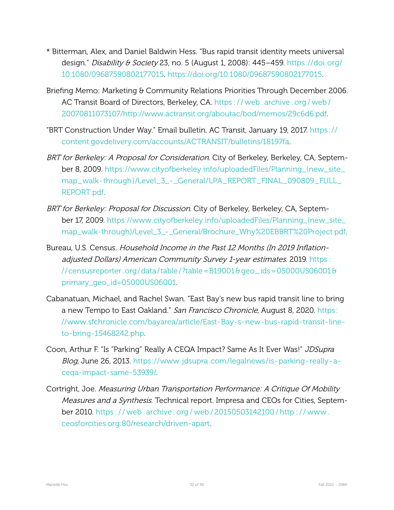- \* Bitterman, Alex, and Daniel Baldwin Hess. "Bus rapid transit identity meets universal design." Disability & Society 23, no. 5 (August 1, 2008):  $445-459$ . [https://doi.org/](https://doi.org/10.1080/09687590802177015) [10.1080/09687590802177015.](https://doi.org/10.1080/09687590802177015) <https://doi.org/10.1080/09687590802177015>.
- Briefing Memo: Marketing & Community Relations Priorities Through December 2006. AC Transit Board of Directors, Berkeley, CA. https://web.archive.org/web/ [20070811073107/http://www.actransit.org/aboutac/bod/memos/29c6d6.pdf](https://web.archive.org/web/20070811073107/http://www.actransit.org/aboutac/bod/memos/29c6d6.pdf).
- "BRT Construction Under Way." Email bulletin. AC Transit, January 19, 2017. [https: / /](https://content.govdelivery.com/accounts/ACTRANSIT/bulletins/18197fa) [content.govdelivery.com/accounts/ACTRANSIT/bulletins/18197fa](https://content.govdelivery.com/accounts/ACTRANSIT/bulletins/18197fa).
- BRT for Berkeley: A Proposal for Consideration. City of Berkeley, Berkeley, CA, September 8, 2009. [https://www.cityofberkeley.info/uploadedFiles/Planning\\_\(new\\_site\\_](https://www.cityofberkeley.info/uploadedFiles/Planning_(new_site_map_walk-through)/Level_3_-_General/LPA_REPORT_FINAL_090809_FULL_REPORT.pdf) map\_walk-through)/Level\_3\_-\_General/LPA\_REPORT\_FINAL\_090809\_FULL\_ [REPORT.pdf](https://www.cityofberkeley.info/uploadedFiles/Planning_(new_site_map_walk-through)/Level_3_-_General/LPA_REPORT_FINAL_090809_FULL_REPORT.pdf).
- BRT for Berkeley: Proposal for Discussion. City of Berkeley, Berkeley, CA, September 17, 2009. [https://www.cityofberkeley.info/uploadedFiles/Planning\\_\(new\\_site\\_](https://www.cityofberkeley.info/uploadedFiles/Planning_(new_site_map_walk-through)/Level_3_-_General/Brochure_Why%20EBBRT%20Project.pdf) map\_walk-through)/Level\_3\_-\_General/Brochure\_Why%20EBBRT%20Project.pdf.
- Bureau, U.S. Census. Household Income in the Past 12 Months (In 2019 Inflationadjusted Dollars) American Community Survey 1-year estimates. 2019. https: // censusreporter . org/data/table/?table=B19001& geo \_ids=05000US06001& [primary\\_geo\\_id=05000US06001](https://censusreporter.org/data/table/?table=B19001&geo_ids=05000US06001&primary_geo_id=05000US06001).
- Cabanatuan, Michael, and Rachel Swan. "East Bay's new bus rapid transit line to bring a new Tempo to East Oakland." San Francisco Chronicle, August 8, 2020. [https:](https://www.sfchronicle.com/bayarea/article/East-Bay-s-new-bus-rapid-transit-line-to-bring-15468242.php) //www.sfchronicle.com/bayarea/article/East-Bay-s-new-bus-rapid-transit-lineto-bring-15468242.php.
- Coon, Arthur F. "Is "Parking" Really A CEQA Impact? Same As It Ever Was!" JDSupra Blog, June 26, 2013. https://www.jdsupra.com/legalnews/is-parking-really-acega-impact-same-53939/.
- Cortright, Joe. Measuring Urban Transportation Performance: A Critique Of Mobility Measures and a Synthesis. Technical report. Impresa and CEOs for Cities, September 2010. [https : / / web . archive . org / web / 20150503142100 / http : / / www .](https://web.archive.org/web/20150503142100/http://www.ceosforcities.org:80/research/driven-apart) ceosforcities.org:80/research/driven-apart.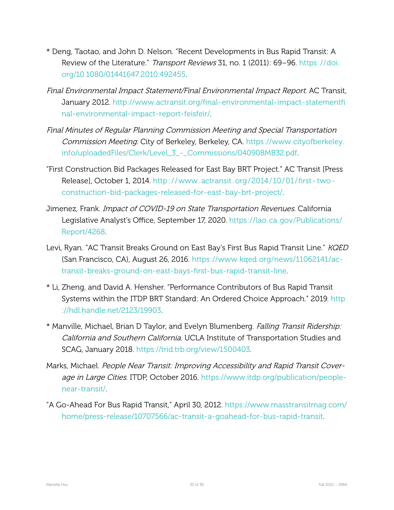- \* Deng, Taotao, and John D. Nelson. "Recent Developments in Bus Rapid Transit: A Review of the Literature." Transport Reviews 31, no. 1 (2011): 69–96. [https://doi.](https://doi.org/10.1080/01441647.2010.492455) [org/10.1080/01441647.2010.492455.](https://doi.org/10.1080/01441647.2010.492455)
- Final Environmental Impact Statement/Final Environmental Impact Report. AC Transit, January 2012. http://www.actransit.org/final-environmental-impact-statementfi nal-environmental-impact-report-feisfeir/.
- Final Minutes of Regular Planning Commission Meeting and Special Transportation Commission Meeting. City of Berkeley, Berkeley, CA. [https://www.cityofberkeley.](https://www.cityofberkeley.info/uploadedFiles/Clerk/Level_3_-_Commissions/040908MB32.pdf) [info/uploadedFiles/Clerk/Level\\_3\\_\\_Commissions/040908MB32.pdf.](https://www.cityofberkeley.info/uploadedFiles/Clerk/Level_3_-_Commissions/040908MB32.pdf)
- "First Construction Bid Packages Released for East Bay BRT Project." AC Transit [Press Release], October 1, 2014. http://www.actransit.org/2014/10/01/first-twoconstruction-bid-packages-released-for-east-bay-brt-project/.
- Jimenez, Frank. Impact of COVID-19 on State Transportation Revenues. California Legislative Analyst's Office, September 17, 2020. [https://lao.ca.gov/Publications/](https://lao.ca.gov/Publications/Report/4268) [Report/4268](https://lao.ca.gov/Publications/Report/4268).
- Levi, Ryan. "AC Transit Breaks Ground on East Bay's First Bus Rapid Transit Line." KQED (San Francisco, CA), August 26, 2016. [https://www.kqed.org/news/11062141/ac](https://www.kqed.org/news/11062141/ac-transit-breaks-ground-on-east-bays-first-bus-rapid-transit-line)transit-breaks-ground-on-east-bays-first-bus-rapid-transit-line.
- \* Li, Zheng, and David A. Hensher. "Performance Contributors of Bus Rapid Transit Systems within the ITDP BRT Standard: An Ordered Choice Approach." 2019. [http](http://hdl.handle.net/2123/19903) [://hdl.handle.net/2123/19903](http://hdl.handle.net/2123/19903).
- \* Manville, Michael, Brian D Taylor, and Evelyn Blumenberg. Falling Transit Ridership: California and Southern California. UCLA Institute of Transportation Studies and SCAG, January 2018. [https://trid.trb.org/view/1500403.](https://trid.trb.org/view/1500403)
- Marks, Michael. People Near Transit: Improving Accessibility and Rapid Transit Coverage in Large Cities. ITDP, October 2016. [https://www.itdp.org/publication/people](https://www.itdp.org/publication/people-near-transit/)near-transit/
- "A Go-Ahead For Bus Rapid Transit," April 30, 2012. [https://www.masstransitmag.com/](https://www.masstransitmag.com/home/press-release/10707566/ac-transit-a-goahead-for-bus-rapid-transit) home/press-release/10707566/ac-transit-a-goahead-for-bus-rapid-transit.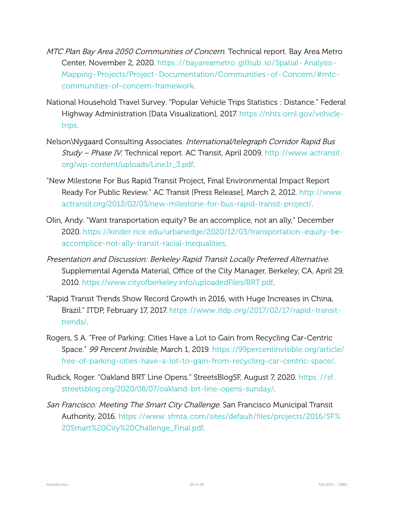- MTC Plan Bay Area 2050 Communities of Concern. Technical report. Bay Area Metro Center, November 2, 2020. https://bayareametro.github.io/Spatial-Analysis-Mapping - Projects/Project - Documentation/Communities - of - Concern/#mtc communities-of-concern-framework.
- National Household Travel Survey. "Popular Vehicle Trips Statistics : Distance." Federal Highway Administration [Data Visualization], 2017. [https://nhts.ornl.gov/vehicle](https://nhts.ornl.gov/vehicle-trips)[trips.](https://nhts.ornl.gov/vehicle-trips)
- Nelson\Nygaard Consulting Associates. International/telegraph Corridor Rapid Bus Study - Phase IV. Technical report. AC Transit, April 2009. [http://www.actransit.](http://www.actransit.org/wp-content/uploads/Line1r_3.pdf) org/wp-content/uploads/Line1r\_3.pdf.
- "New Milestone For Bus Rapid Transit Project, Final Environmental Impact Report Ready For Public Review." AC Transit [Press Release], March 2, 2012. [http://www.](http://www.actransit.org/2012/02/03/new-milestone-for-bus-rapid-transit-project/) actransit.org/2012/02/03/new-milestone-for-bus-rapid-transit-project/.
- Olin, Andy. "Want transportation equity? Be an accomplice, not an ally," December 2020. https://kinder.rice.edu/urbanedge/2020/12/03/transportation-equity-beaccomplice-not-ally-transit-racial-inequalities.
- Presentation and Discussion: Berkeley Rapid Transit Locally Preferred Alternative. Supplemental Agenda Material, Office of the City Manager, Berkeley, CA, April 29, 2010. [https://www.cityofberkeley.info/uploadedFiles/BRT.pdf.](https://www.cityofberkeley.info/uploadedFiles/BRT.pdf)
- "Rapid Transit Trends Show Record Growth in 2016, with Huge Increases in China, Brazil." ITDP, February 17, 2017. https://www.itdp.org/2017/02/17/rapid-transit[trends/](https://www.itdp.org/2017/02/17/rapid-transit-trends/).
- Rogers, S A. "Free of Parking: Cities Have a Lot to Gain from Recycling Car-Centric Space." 99 Percent Invisible, March 1, 2019. [https://99percentinvisible.org/article/](https://99percentinvisible.org/article/free-of-parking-cities-have-a-lot-to-gain-from-recycling-car-centric-space/) free-of-parking-cities-have-a-lot-to-gain-from-recycling-car-centric-space/.
- Rudick, Roger. "Oakland BRT Line Opens." StreetsBlogSF, August 7, 2020. [https: / / sf .](https://sf.streetsblog.org/2020/08/07/oakland-brt-line-opens-sunday/) streetsblog.org/2020/08/07/oakland-brt-line-opens-sunday/.
- San Francisco: Meeting The Smart City Challenge. San Francisco Municipal Transit Authority, 2016. [https://www.sfmta.com/sites/default/files/projects/2016/SF%](https://www.sfmta.com/sites/default/files/projects/2016/SF%20Smart%20City%20Challenge_Final.pdf) [20Smart%20City%20Challenge\\_Final.pdf](https://www.sfmta.com/sites/default/files/projects/2016/SF%20Smart%20City%20Challenge_Final.pdf).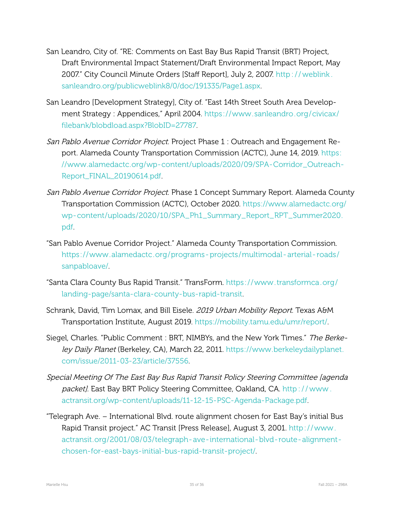- San Leandro, City of. "RE: Comments on East Bay Bus Rapid Transit (BRT) Project, Draft Environmental Impact Statement/Draft Environmental Impact Report, May 2007." City Council Minute Orders [Staff Report], July 2, 2007. [http : / / weblink .](http://weblink.sanleandro.org/publicweblink8/0/doc/191335/Page1.aspx) [sanleandro.org/publicweblink8/0/doc/191335/Page1.aspx.](http://weblink.sanleandro.org/publicweblink8/0/doc/191335/Page1.aspx)
- San Leandro [Development Strategy], City of. "East 14th Street South Area Development Strategy : Appendices," April 2004. [https: / /www.sanleandro.org /civicax /](https://www.sanleandro.org/civicax/filebank/blobdload.aspx?BlobID=27787) [filebank/blobdload.aspx?BlobID=27787.](https://www.sanleandro.org/civicax/filebank/blobdload.aspx?BlobID=27787)
- San Pablo Avenue Corridor Project. Project Phase 1 : Outreach and Engagement Report. Alameda County Transportation Commission (ACTC), June 14, 2019. [https:](https://www.alamedactc.org/wp-content/uploads/2020/09/SPA-Corridor_Outreach-Report_FINAL_20190614.pdf) //www.alamedactc.org/wp-content/uploads/2020/09/SPA-Corridor\_Outreach-[Report\\_FINAL\\_20190614.pdf.](https://www.alamedactc.org/wp-content/uploads/2020/09/SPA-Corridor_Outreach-Report_FINAL_20190614.pdf)
- San Pablo Avenue Corridor Project. Phase 1 Concept Summary Report. Alameda County Transportation Commission (ACTC), October 2020. [https://www.alamedactc.org/](https://www.alamedactc.org/wp-content/uploads/2020/10/SPA_Ph1_Summary_Report_RPT_Summer2020.pdf) wp-content/uploads/2020/10/SPA\_Ph1\_Summary\_Report\_RPT\_Summer2020. [pdf.](https://www.alamedactc.org/wp-content/uploads/2020/10/SPA_Ph1_Summary_Report_RPT_Summer2020.pdf)
- "San Pablo Avenue Corridor Project." Alameda County Transportation Commission. https://www.alamedactc.org/programs-projects/multimodal-arterial-roads/ [sanpabloave/](https://www.alamedactc.org/programs-projects/multimodal-arterial-roads/sanpabloave/).
- "Santa Clara County Bus Rapid Transit." TransForm. https://www.transformca.org/ landing-page/santa-clara-county-bus-rapid-transit.
- Schrank, David, Tim Lomax, and Bill Eisele. 2019 Urban Mobility Report. Texas A&M Transportation Institute, August 2019. [https://mobility.tamu.edu/umr/report/.](https://mobility.tamu.edu/umr/report/)
- Siegel, Charles. "Public Comment : BRT, NIMBYs, and the New York Times." The Berkeley Daily Planet (Berkeley, CA), March 22, 2011. [https://www.berkeleydailyplanet.](https://www.berkeleydailyplanet.com/issue/2011-03-23/article/37556) com/issue/2011-03-23/article/37556.
- Special Meeting Of The East Bay Bus Rapid Transit Policy Steering Committee [agenda packet]. East Bay BRT Policy Steering Committee, Oakland, CA. http://www. actransit.org/wp-content/uploads/11-12-15-PSC-Agenda-Package.pdf.
- "Telegraph Ave. International Blvd. route alignment chosen for East Bay's initial Bus Rapid Transit project." AC Transit [Press Release], August 3, 2001. http://www. actransit.org/2001/08/03/telegraph-ave-international-blvd-route-alignmentchosen-for-east-bays-initial-bus-rapid-transit-project/.